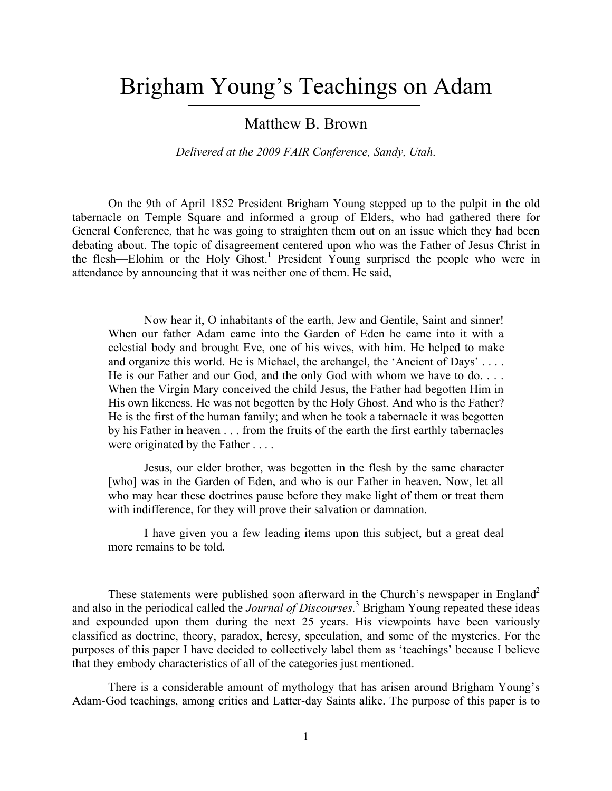# Brigham Young's Teachings on Adam

## Matthew B. Brown

*Delivered at the 2009 FAIR Conference, Sandy, Utah*.

On the 9th of April 1852 President Brigham Young stepped up to the pulpit in the old tabernacle on Temple Square and informed a group of Elders, who had gathered there for General Conference, that he was going to straighten them out on an issue which they had been debating about. The topic of disagreement centered upon who was the Father of Jesus Christ in the flesh—Elohim or the Holy Ghost. <sup>1</sup> President Young surprised the people who were in attendance by announcing that it was neither one of them. He said,

Now hear it, O inhabitants of the earth, Jew and Gentile, Saint and sinner! When our father Adam came into the Garden of Eden he came into it with a celestial body and brought Eve, one of his wives, with him. He helped to make and organize this world. He is Michael, the archangel, the 'Ancient of Days' . . . . He is our Father and our God, and the only God with whom we have to do. . . . When the Virgin Mary conceived the child Jesus, the Father had begotten Him in His own likeness. He was not begotten by the Holy Ghost. And who is the Father? He is the first of the human family; and when he took a tabernacle it was begotten by his Father in heaven . . . from the fruits of the earth the first earthly tabernacles were originated by the Father . . . .

Jesus, our elder brother, was begotten in the flesh by the same character [who] was in the Garden of Eden, and who is our Father in heaven. Now, let all who may hear these doctrines pause before they make light of them or treat them with indifference, for they will prove their salvation or damnation.

I have given you a few leading items upon this subject, but a great deal more remains to be told.

These statements were published soon afterward in the Church's newspaper in England<sup>2</sup> and also in the periodical called the *Journal of Discourses*. 3 Brigham Young repeated these ideas and expounded upon them during the next 25 years. His viewpoints have been variously classified as doctrine, theory, paradox, heresy, speculation, and some of the mysteries. For the purposes of this paper I have decided to collectively label them as 'teachings' because I believe that they embody characteristics of all of the categories just mentioned.

There is a considerable amount of mythology that has arisen around Brigham Young's Adam-God teachings, among critics and Latter-day Saints alike. The purpose of this paper is to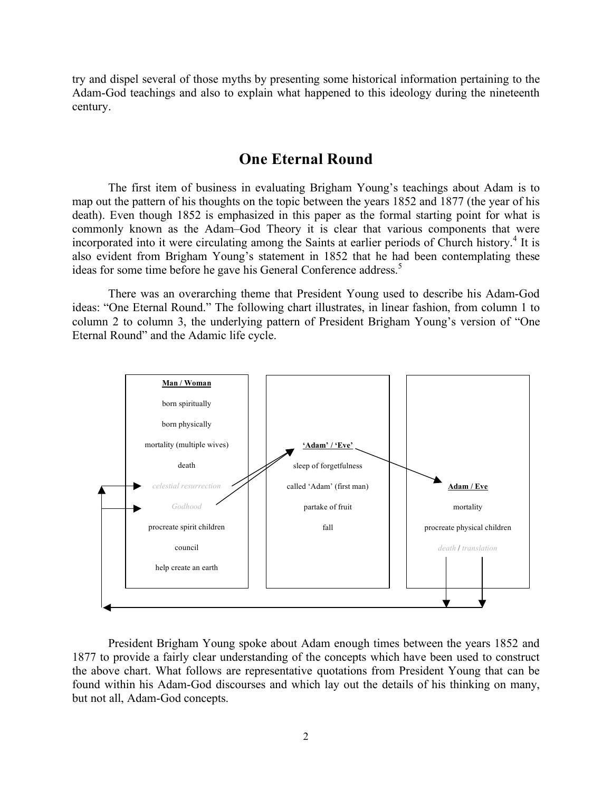try and dispel several of those myths by presenting some historical information pertaining to the Adam-God teachings and also to explain what happened to this ideology during the nineteenth century.

### **One Eternal Round**

The first item of business in evaluating Brigham Young's teachings about Adam is to map out the pattern of his thoughts on the topic between the years 1852 and 1877 (the year of his death). Even though 1852 is emphasized in this paper as the formal starting point for what is commonly known as the Adam–God Theory it is clear that various components that were incorporated into it were circulating among the Saints at earlier periods of Church history.<sup>4</sup> It is also evident from Brigham Young's statement in 1852 that he had been contemplating these ideas for some time before he gave his General Conference address.<sup>5</sup>

There was an overarching theme that President Young used to describe his Adam-God ideas: "One Eternal Round." The following chart illustrates, in linear fashion, from column 1 to column 2 to column 3, the underlying pattern of President Brigham Young's version of "One Eternal Round" and the Adamic life cycle.



President Brigham Young spoke about Adam enough times between the years 1852 and 1877 to provide a fairly clear understanding of the concepts which have been used to construct the above chart. What follows are representative quotations from President Young that can be found within his Adam-God discourses and which lay out the details of his thinking on many, but not all, Adam-God concepts.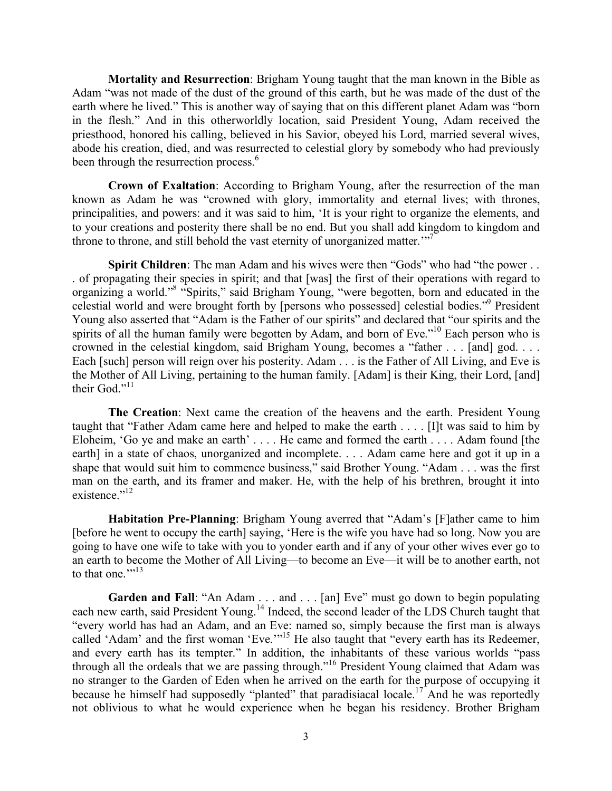**Mortality and Resurrection**: Brigham Young taught that the man known in the Bible as Adam "was not made of the dust of the ground of this earth, but he was made of the dust of the earth where he lived." This is another way of saying that on this different planet Adam was "born in the flesh." And in this otherworldly location, said President Young, Adam received the priesthood, honored his calling, believed in his Savior, obeyed his Lord, married several wives, abode his creation, died, and was resurrected to celestial glory by somebody who had previously been through the resurrection process.<sup>6</sup>

**Crown of Exaltation**: According to Brigham Young, after the resurrection of the man known as Adam he was "crowned with glory, immortality and eternal lives; with thrones, principalities, and powers: and it was said to him, 'It is your right to organize the elements, and to your creations and posterity there shall be no end. But you shall add kingdom to kingdom and throne to throne, and still behold the vast eternity of unorganized matter.<sup>"7</sup>

**Spirit Children**: The man Adam and his wives were then "Gods" who had "the power... . of propagating their species in spirit; and that [was] the first of their operations with regard to organizing a world."8 "Spirits," said Brigham Young, "were begotten, born and educated in the celestial world and were brought forth by [persons who possessed] celestial bodies."9 President Young also asserted that "Adam is the Father of our spirits" and declared that "our spirits and the spirits of all the human family were begotten by Adam, and born of Eve."<sup>10</sup> Each person who is crowned in the celestial kingdom, said Brigham Young, becomes a "father . . . [and] god. . . . Each [such] person will reign over his posterity. Adam . . . is the Father of All Living, and Eve is the Mother of All Living, pertaining to the human family. [Adam] is their King, their Lord, [and] their God."<sup>11</sup>

**The Creation**: Next came the creation of the heavens and the earth. President Young taught that "Father Adam came here and helped to make the earth . . . . [I]t was said to him by Eloheim, 'Go ye and make an earth' . . . . He came and formed the earth . . . . Adam found [the earth] in a state of chaos, unorganized and incomplete. . . . Adam came here and got it up in a shape that would suit him to commence business," said Brother Young. "Adam . . . was the first man on the earth, and its framer and maker. He, with the help of his brethren, brought it into existence."<sup>12</sup>

**Habitation Pre-Planning**: Brigham Young averred that "Adam's [F]ather came to him [before he went to occupy the earth] saying, 'Here is the wife you have had so long. Now you are going to have one wife to take with you to yonder earth and if any of your other wives ever go to an earth to become the Mother of All Living—to become an Eve—it will be to another earth, not to that one."<sup>13</sup>

Garden and Fall: "An Adam ... and ... [an] Eve" must go down to begin populating each new earth, said President Young.<sup>14</sup> Indeed, the second leader of the LDS Church taught that "every world has had an Adam, and an Eve: named so, simply because the first man is always called 'Adam' and the first woman 'Eve.'<sup>15</sup> He also taught that "every earth has its Redeemer, and every earth has its tempter." In addition, the inhabitants of these various worlds "pass through all the ordeals that we are passing through."<sup>16</sup> President Young claimed that Adam was no stranger to the Garden of Eden when he arrived on the earth for the purpose of occupying it because he himself had supposedly "planted" that paradisiacal locale.<sup>17</sup> And he was reportedly not oblivious to what he would experience when he began his residency. Brother Brigham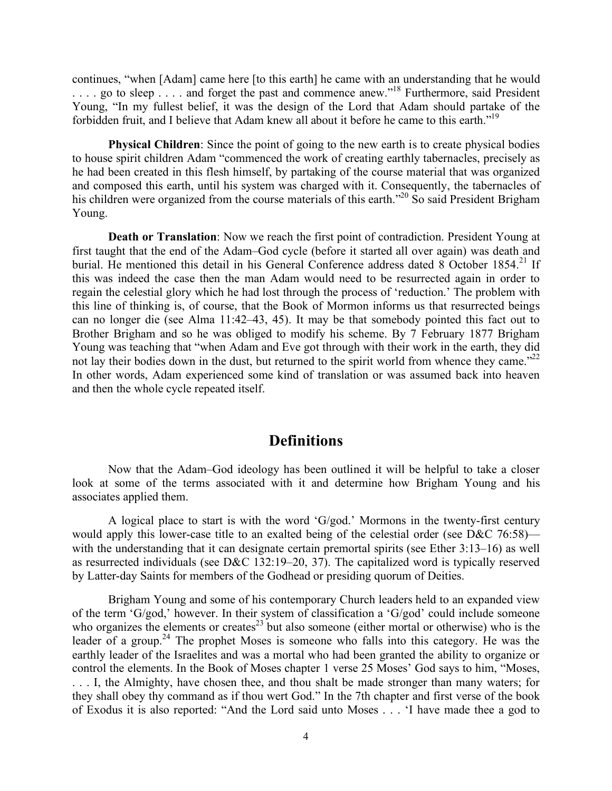continues, "when [Adam] came here [to this earth] he came with an understanding that he would . . . . go to sleep . . . . and forget the past and commence anew."<sup>18</sup> Furthermore, said President Young, "In my fullest belief, it was the design of the Lord that Adam should partake of the forbidden fruit, and I believe that Adam knew all about it before he came to this earth."19

**Physical Children**: Since the point of going to the new earth is to create physical bodies to house spirit children Adam "commenced the work of creating earthly tabernacles, precisely as he had been created in this flesh himself, by partaking of the course material that was organized and composed this earth, until his system was charged with it. Consequently, the tabernacles of his children were organized from the course materials of this earth."<sup>20</sup> So said President Brigham Young.

**Death or Translation**: Now we reach the first point of contradiction. President Young at first taught that the end of the Adam–God cycle (before it started all over again) was death and burial. He mentioned this detail in his General Conference address dated 8 October 1854.<sup>21</sup> If this was indeed the case then the man Adam would need to be resurrected again in order to regain the celestial glory which he had lost through the process of 'reduction.' The problem with this line of thinking is, of course, that the Book of Mormon informs us that resurrected beings can no longer die (see Alma 11:42–43, 45). It may be that somebody pointed this fact out to Brother Brigham and so he was obliged to modify his scheme. By 7 February 1877 Brigham Young was teaching that "when Adam and Eve got through with their work in the earth, they did not lay their bodies down in the dust, but returned to the spirit world from whence they came." $^{22}$ In other words, Adam experienced some kind of translation or was assumed back into heaven and then the whole cycle repeated itself.

## **Definitions**

Now that the Adam–God ideology has been outlined it will be helpful to take a closer look at some of the terms associated with it and determine how Brigham Young and his associates applied them.

A logical place to start is with the word 'G/god.' Mormons in the twenty-first century would apply this lower-case title to an exalted being of the celestial order (see D&C 76:58) with the understanding that it can designate certain premortal spirits (see Ether 3:13–16) as well as resurrected individuals (see D&C 132:19–20, 37). The capitalized word is typically reserved by Latter-day Saints for members of the Godhead or presiding quorum of Deities.

Brigham Young and some of his contemporary Church leaders held to an expanded view of the term 'G/god,' however. In their system of classification a 'G/god' could include someone who organizes the elements or creates<sup>23</sup> but also someone (either mortal or otherwise) who is the leader of a group.<sup>24</sup> The prophet Moses is someone who falls into this category. He was the earthly leader of the Israelites and was a mortal who had been granted the ability to organize or control the elements. In the Book of Moses chapter 1 verse 25 Moses' God says to him, "Moses, . . . I, the Almighty, have chosen thee, and thou shalt be made stronger than many waters; for they shall obey thy command as if thou wert God." In the 7th chapter and first verse of the book of Exodus it is also reported: "And the Lord said unto Moses . . . 'I have made thee a god to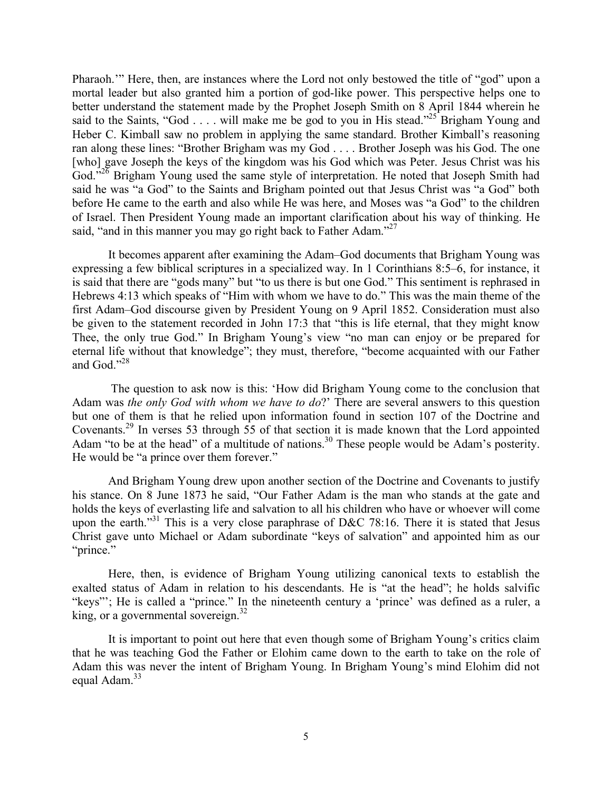Pharaoh.'" Here, then, are instances where the Lord not only bestowed the title of "god" upon a mortal leader but also granted him a portion of god-like power. This perspective helps one to better understand the statement made by the Prophet Joseph Smith on 8 April 1844 wherein he said to the Saints, "God  $\ldots$  will make me be god to you in His stead."<sup>25</sup> Brigham Young and Heber C. Kimball saw no problem in applying the same standard. Brother Kimball's reasoning ran along these lines: "Brother Brigham was my God . . . . Brother Joseph was his God. The one [who] gave Joseph the keys of the kingdom was his God which was Peter. Jesus Christ was his God."<sup>26</sup> Brigham Young used the same style of interpretation. He noted that Joseph Smith had said he was "a God" to the Saints and Brigham pointed out that Jesus Christ was "a God" both before He came to the earth and also while He was here, and Moses was "a God" to the children of Israel. Then President Young made an important clarification about his way of thinking. He said, "and in this manner you may go right back to Father Adam."<sup>27</sup>

It becomes apparent after examining the Adam–God documents that Brigham Young was expressing a few biblical scriptures in a specialized way. In 1 Corinthians 8:5–6, for instance, it is said that there are "gods many" but "to us there is but one God." This sentiment is rephrased in Hebrews 4:13 which speaks of "Him with whom we have to do." This was the main theme of the first Adam–God discourse given by President Young on 9 April 1852. Consideration must also be given to the statement recorded in John 17:3 that "this is life eternal, that they might know Thee, the only true God." In Brigham Young's view "no man can enjoy or be prepared for eternal life without that knowledge"; they must, therefore, "become acquainted with our Father and God."<sup>28</sup>

The question to ask now is this: 'How did Brigham Young come to the conclusion that Adam was *the only God with whom we have to do*?' There are several answers to this question but one of them is that he relied upon information found in section 107 of the Doctrine and Covenants.29 In verses 53 through 55 of that section it is made known that the Lord appointed Adam "to be at the head" of a multitude of nations.<sup>30</sup> These people would be Adam's posterity. He would be "a prince over them forever."

And Brigham Young drew upon another section of the Doctrine and Covenants to justify his stance. On 8 June 1873 he said, "Our Father Adam is the man who stands at the gate and holds the keys of everlasting life and salvation to all his children who have or whoever will come upon the earth."<sup>31</sup> This is a very close paraphrase of D&C 78:16. There it is stated that Jesus Christ gave unto Michael or Adam subordinate "keys of salvation" and appointed him as our "prince."

Here, then, is evidence of Brigham Young utilizing canonical texts to establish the exalted status of Adam in relation to his descendants. He is "at the head"; he holds salvific "keys"'; He is called a "prince." In the nineteenth century a 'prince' was defined as a ruler, a king, or a governmental sovereign. $32$ 

It is important to point out here that even though some of Brigham Young's critics claim that he was teaching God the Father or Elohim came down to the earth to take on the role of Adam this was never the intent of Brigham Young. In Brigham Young's mind Elohim did not equal Adam.<sup>33</sup>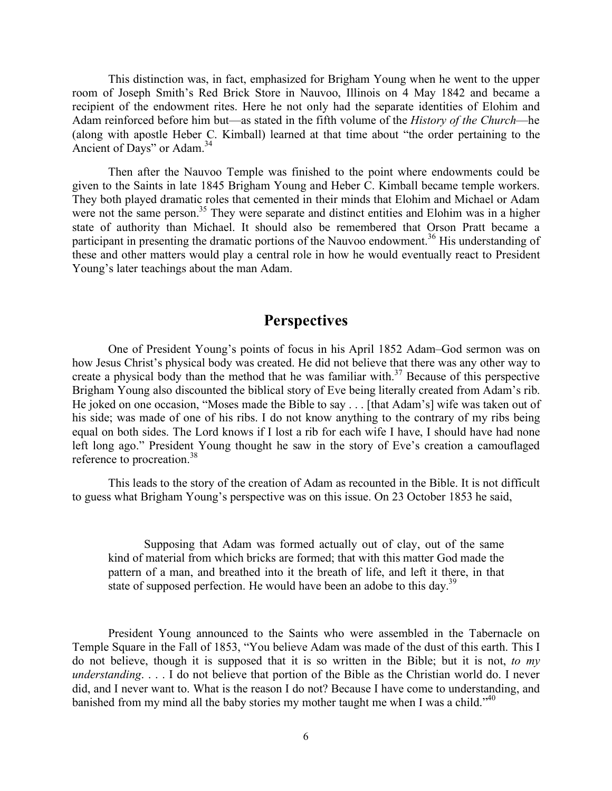This distinction was, in fact, emphasized for Brigham Young when he went to the upper room of Joseph Smith's Red Brick Store in Nauvoo, Illinois on 4 May 1842 and became a recipient of the endowment rites. Here he not only had the separate identities of Elohim and Adam reinforced before him but—as stated in the fifth volume of the *History of the Church*—he (along with apostle Heber C. Kimball) learned at that time about "the order pertaining to the Ancient of Days" or Adam.<sup>34</sup>

Then after the Nauvoo Temple was finished to the point where endowments could be given to the Saints in late 1845 Brigham Young and Heber C. Kimball became temple workers. They both played dramatic roles that cemented in their minds that Elohim and Michael or Adam were not the same person.<sup>35</sup> They were separate and distinct entities and Elohim was in a higher state of authority than Michael. It should also be remembered that Orson Pratt became a participant in presenting the dramatic portions of the Nauvoo endowment.<sup>36</sup> His understanding of these and other matters would play a central role in how he would eventually react to President Young's later teachings about the man Adam.

# **Perspectives**

One of President Young's points of focus in his April 1852 Adam–God sermon was on how Jesus Christ's physical body was created. He did not believe that there was any other way to create a physical body than the method that he was familiar with.<sup>37</sup> Because of this perspective Brigham Young also discounted the biblical story of Eve being literally created from Adam's rib. He joked on one occasion, "Moses made the Bible to say . . . [that Adam's] wife was taken out of his side; was made of one of his ribs. I do not know anything to the contrary of my ribs being equal on both sides. The Lord knows if I lost a rib for each wife I have, I should have had none left long ago." President Young thought he saw in the story of Eve's creation a camouflaged reference to procreation.<sup>38</sup>

This leads to the story of the creation of Adam as recounted in the Bible. It is not difficult to guess what Brigham Young's perspective was on this issue. On 23 October 1853 he said,

Supposing that Adam was formed actually out of clay, out of the same kind of material from which bricks are formed; that with this matter God made the pattern of a man, and breathed into it the breath of life, and left it there, in that state of supposed perfection. He would have been an adobe to this day.<sup>39</sup>

President Young announced to the Saints who were assembled in the Tabernacle on Temple Square in the Fall of 1853, "You believe Adam was made of the dust of this earth. This I do not believe, though it is supposed that it is so written in the Bible; but it is not, *to my understanding*. . . . I do not believe that portion of the Bible as the Christian world do. I never did, and I never want to. What is the reason I do not? Because I have come to understanding, and banished from my mind all the baby stories my mother taught me when I was a child."<sup>40</sup>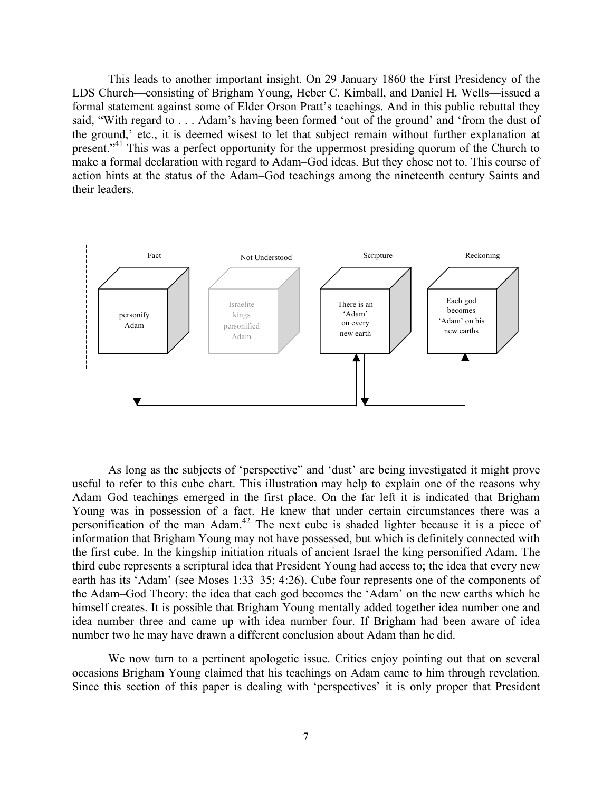This leads to another important insight. On 29 January 1860 the First Presidency of the LDS Church—consisting of Brigham Young, Heber C. Kimball, and Daniel H. Wells—issued a formal statement against some of Elder Orson Pratt's teachings. And in this public rebuttal they said, "With regard to . . . Adam's having been formed 'out of the ground' and 'from the dust of the ground,' etc., it is deemed wisest to let that subject remain without further explanation at present."<sup>41</sup> This was a perfect opportunity for the uppermost presiding quorum of the Church to make a formal declaration with regard to Adam–God ideas. But they chose not to. This course of action hints at the status of the Adam–God teachings among the nineteenth century Saints and their leaders.



As long as the subjects of 'perspective" and 'dust' are being investigated it might prove useful to refer to this cube chart. This illustration may help to explain one of the reasons why Adam–God teachings emerged in the first place. On the far left it is indicated that Brigham Young was in possession of a fact. He knew that under certain circumstances there was a personification of the man Adam.42 The next cube is shaded lighter because it is a piece of information that Brigham Young may not have possessed, but which is definitely connected with the first cube. In the kingship initiation rituals of ancient Israel the king personified Adam. The third cube represents a scriptural idea that President Young had access to; the idea that every new earth has its 'Adam' (see Moses 1:33–35; 4:26). Cube four represents one of the components of the Adam–God Theory: the idea that each god becomes the 'Adam' on the new earths which he himself creates. It is possible that Brigham Young mentally added together idea number one and idea number three and came up with idea number four. If Brigham had been aware of idea number two he may have drawn a different conclusion about Adam than he did.

We now turn to a pertinent apologetic issue. Critics enjoy pointing out that on several occasions Brigham Young claimed that his teachings on Adam came to him through revelation. Since this section of this paper is dealing with 'perspectives' it is only proper that President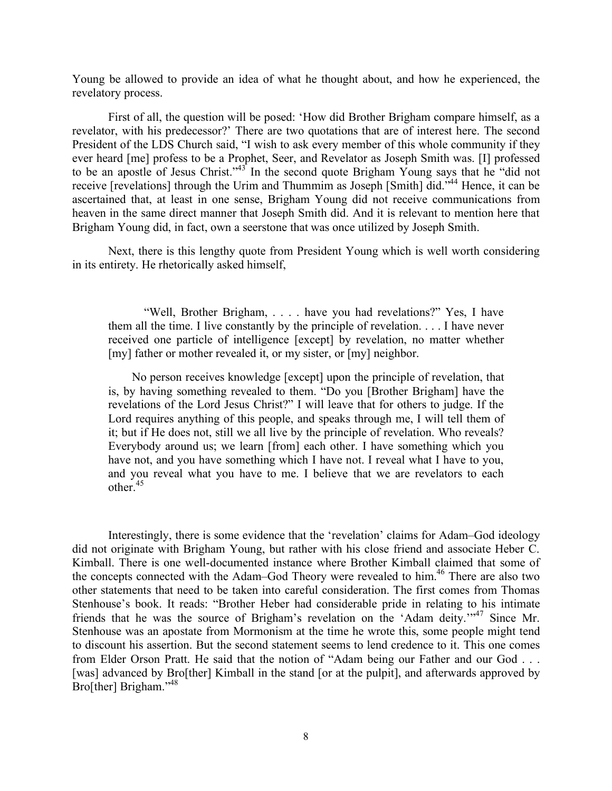Young be allowed to provide an idea of what he thought about, and how he experienced, the revelatory process.

First of all, the question will be posed: 'How did Brother Brigham compare himself, as a revelator, with his predecessor?' There are two quotations that are of interest here. The second President of the LDS Church said, "I wish to ask every member of this whole community if they ever heard [me] profess to be a Prophet, Seer, and Revelator as Joseph Smith was. [I] professed to be an apostle of Jesus Christ." $43^{\circ}$  In the second quote Brigham Young says that he "did not receive [revelations] through the Urim and Thummim as Joseph [Smith] did."44 Hence, it can be ascertained that, at least in one sense, Brigham Young did not receive communications from heaven in the same direct manner that Joseph Smith did. And it is relevant to mention here that Brigham Young did, in fact, own a seerstone that was once utilized by Joseph Smith.

Next, there is this lengthy quote from President Young which is well worth considering in its entirety. He rhetorically asked himself,

"Well, Brother Brigham, . . . . have you had revelations?" Yes, I have them all the time. I live constantly by the principle of revelation. . . . I have never received one particle of intelligence [except] by revelation, no matter whether [my] father or mother revealed it, or my sister, or [my] neighbor.

 No person receives knowledge [except] upon the principle of revelation, that is, by having something revealed to them. "Do you [Brother Brigham] have the revelations of the Lord Jesus Christ?" I will leave that for others to judge. If the Lord requires anything of this people, and speaks through me. I will tell them of it; but if He does not, still we all live by the principle of revelation. Who reveals? Everybody around us; we learn [from] each other. I have something which you have not, and you have something which I have not. I reveal what I have to you, and you reveal what you have to me. I believe that we are revelators to each other. $45$ 

Interestingly, there is some evidence that the 'revelation' claims for Adam–God ideology did not originate with Brigham Young, but rather with his close friend and associate Heber C. Kimball. There is one well-documented instance where Brother Kimball claimed that some of the concepts connected with the Adam–God Theory were revealed to him.<sup>46</sup> There are also two other statements that need to be taken into careful consideration. The first comes from Thomas Stenhouse's book. It reads: "Brother Heber had considerable pride in relating to his intimate friends that he was the source of Brigham's revelation on the 'Adam deity.'"<sup>47</sup> Since Mr. Stenhouse was an apostate from Mormonism at the time he wrote this, some people might tend to discount his assertion. But the second statement seems to lend credence to it. This one comes from Elder Orson Pratt. He said that the notion of "Adam being our Father and our God . . . [was] advanced by Bro[ther] Kimball in the stand [or at the pulpit], and afterwards approved by Bro[ther] Brigham."<sup>48</sup>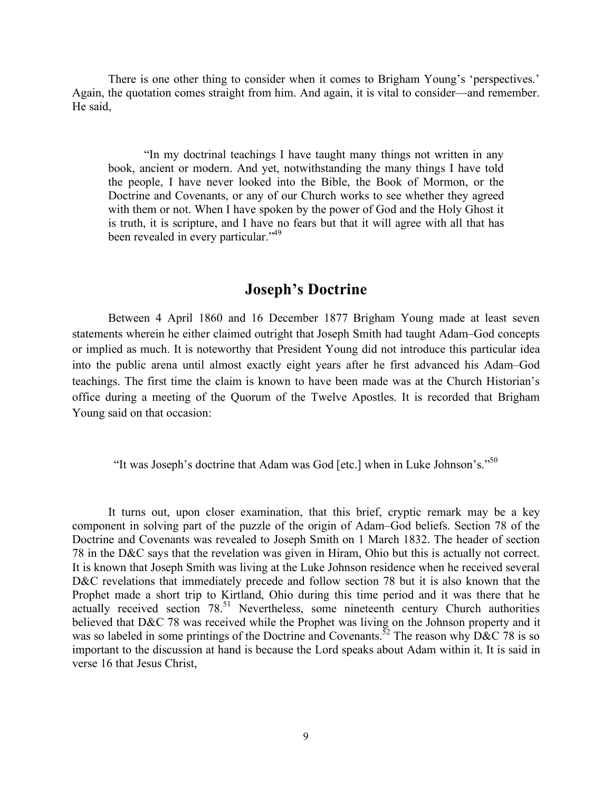There is one other thing to consider when it comes to Brigham Young's 'perspectives.' Again, the quotation comes straight from him. And again, it is vital to consider—and remember. He said,

"In my doctrinal teachings I have taught many things not written in any book, ancient or modern. And yet, notwithstanding the many things I have told the people, I have never looked into the Bible, the Book of Mormon, or the Doctrine and Covenants, or any of our Church works to see whether they agreed with them or not. When I have spoken by the power of God and the Holy Ghost it is truth, it is scripture, and I have no fears but that it will agree with all that has been revealed in every particular."<sup>49</sup>

# **Joseph's Doctrine**

Between 4 April 1860 and 16 December 1877 Brigham Young made at least seven statements wherein he either claimed outright that Joseph Smith had taught Adam–God concepts or implied as much. It is noteworthy that President Young did not introduce this particular idea into the public arena until almost exactly eight years after he first advanced his Adam–God teachings. The first time the claim is known to have been made was at the Church Historian's office during a meeting of the Quorum of the Twelve Apostles. It is recorded that Brigham Young said on that occasion:

"It was Joseph's doctrine that Adam was God [etc.] when in Luke Johnson's." $50$ 

It turns out, upon closer examination, that this brief, cryptic remark may be a key component in solving part of the puzzle of the origin of Adam–God beliefs. Section 78 of the Doctrine and Covenants was revealed to Joseph Smith on 1 March 1832. The header of section 78 in the D&C says that the revelation was given in Hiram, Ohio but this is actually not correct. It is known that Joseph Smith was living at the Luke Johnson residence when he received several D&C revelations that immediately precede and follow section 78 but it is also known that the Prophet made a short trip to Kirtland, Ohio during this time period and it was there that he actually received section 78.<sup>51</sup> Nevertheless, some nineteenth century Church authorities believed that D&C 78 was received while the Prophet was living on the Johnson property and it was so labeled in some printings of the Doctrine and Covenants.<sup>52</sup> The reason why D&C 78 is so important to the discussion at hand is because the Lord speaks about Adam within it. It is said in verse 16 that Jesus Christ,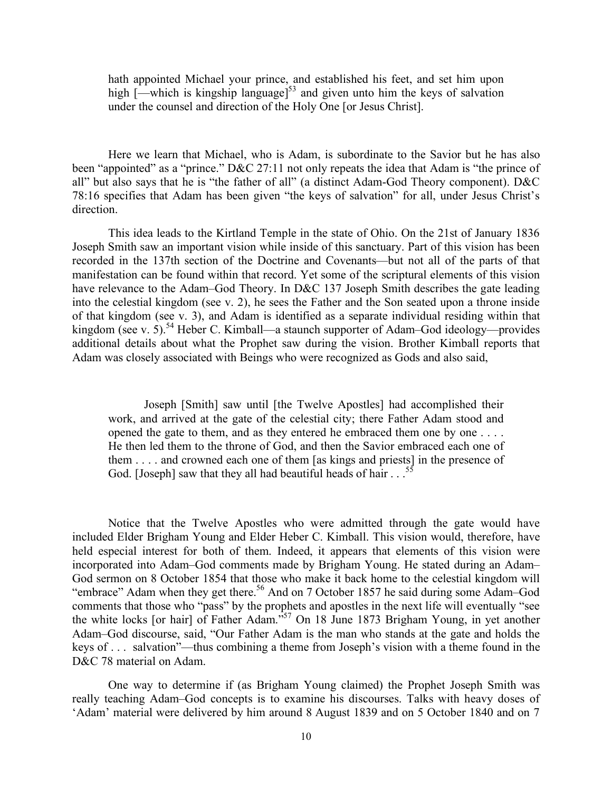hath appointed Michael your prince, and established his feet, and set him upon high  $\left[-\text{which is kingship language}\right]^{53}$  and given unto him the keys of salvation under the counsel and direction of the Holy One [or Jesus Christ].

Here we learn that Michael, who is Adam, is subordinate to the Savior but he has also been "appointed" as a "prince." D&C 27:11 not only repeats the idea that Adam is "the prince of all" but also says that he is "the father of all" (a distinct Adam-God Theory component). D&C 78:16 specifies that Adam has been given "the keys of salvation" for all, under Jesus Christ's direction.

This idea leads to the Kirtland Temple in the state of Ohio. On the 21st of January 1836 Joseph Smith saw an important vision while inside of this sanctuary. Part of this vision has been recorded in the 137th section of the Doctrine and Covenants—but not all of the parts of that manifestation can be found within that record. Yet some of the scriptural elements of this vision have relevance to the Adam–God Theory. In D&C 137 Joseph Smith describes the gate leading into the celestial kingdom (see v. 2), he sees the Father and the Son seated upon a throne inside of that kingdom (see v. 3), and Adam is identified as a separate individual residing within that kingdom (see v. 5).<sup>54</sup> Heber C. Kimball—a staunch supporter of Adam–God ideology—provides additional details about what the Prophet saw during the vision. Brother Kimball reports that Adam was closely associated with Beings who were recognized as Gods and also said,

Joseph [Smith] saw until [the Twelve Apostles] had accomplished their work, and arrived at the gate of the celestial city; there Father Adam stood and opened the gate to them, and as they entered he embraced them one by one . . . . He then led them to the throne of God, and then the Savior embraced each one of them . . . . and crowned each one of them [as kings and priests] in the presence of God. [Joseph] saw that they all had beautiful heads of hair  $\ldots$ <sup>5</sup>

Notice that the Twelve Apostles who were admitted through the gate would have included Elder Brigham Young and Elder Heber C. Kimball. This vision would, therefore, have held especial interest for both of them. Indeed, it appears that elements of this vision were incorporated into Adam–God comments made by Brigham Young. He stated during an Adam– God sermon on 8 October 1854 that those who make it back home to the celestial kingdom will "embrace" Adam when they get there.<sup>56</sup> And on 7 October 1857 he said during some Adam–God comments that those who "pass" by the prophets and apostles in the next life will eventually "see the white locks [or hair] of Father Adam."<sup>57</sup> On 18 June 1873 Brigham Young, in yet another Adam–God discourse, said, "Our Father Adam is the man who stands at the gate and holds the keys of . . . salvation"—thus combining a theme from Joseph's vision with a theme found in the D&C 78 material on Adam.

One way to determine if (as Brigham Young claimed) the Prophet Joseph Smith was really teaching Adam–God concepts is to examine his discourses. Talks with heavy doses of 'Adam' material were delivered by him around 8 August 1839 and on 5 October 1840 and on 7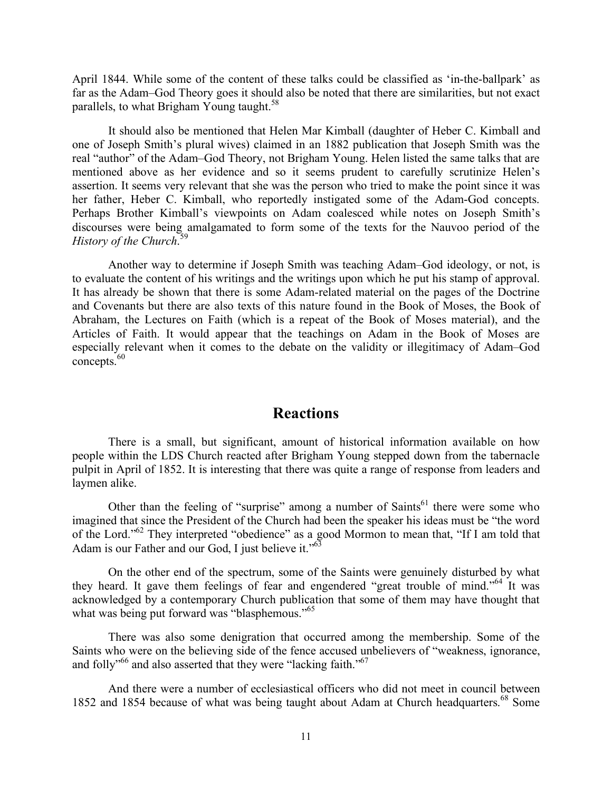April 1844. While some of the content of these talks could be classified as 'in-the-ballpark' as far as the Adam–God Theory goes it should also be noted that there are similarities, but not exact parallels, to what Brigham Young taught.<sup>58</sup>

It should also be mentioned that Helen Mar Kimball (daughter of Heber C. Kimball and one of Joseph Smith's plural wives) claimed in an 1882 publication that Joseph Smith was the real "author" of the Adam–God Theory, not Brigham Young. Helen listed the same talks that are mentioned above as her evidence and so it seems prudent to carefully scrutinize Helen's assertion. It seems very relevant that she was the person who tried to make the point since it was her father, Heber C. Kimball, who reportedly instigated some of the Adam-God concepts. Perhaps Brother Kimball's viewpoints on Adam coalesced while notes on Joseph Smith's discourses were being amalgamated to form some of the texts for the Nauvoo period of the *History of the Church*. 59

Another way to determine if Joseph Smith was teaching Adam–God ideology, or not, is to evaluate the content of his writings and the writings upon which he put his stamp of approval. It has already be shown that there is some Adam-related material on the pages of the Doctrine and Covenants but there are also texts of this nature found in the Book of Moses, the Book of Abraham, the Lectures on Faith (which is a repeat of the Book of Moses material), and the Articles of Faith. It would appear that the teachings on Adam in the Book of Moses are especially relevant when it comes to the debate on the validity or illegitimacy of Adam–God concepts. 60

### **Reactions**

There is a small, but significant, amount of historical information available on how people within the LDS Church reacted after Brigham Young stepped down from the tabernacle pulpit in April of 1852. It is interesting that there was quite a range of response from leaders and laymen alike.

Other than the feeling of "surprise" among a number of Saints<sup>61</sup> there were some who imagined that since the President of the Church had been the speaker his ideas must be "the word of the Lord."<sup>62</sup> They interpreted "obedience" as a good Mormon to mean that, "If I am told that Adam is our Father and our God, I just believe it."<sup>63</sup>

On the other end of the spectrum, some of the Saints were genuinely disturbed by what they heard. It gave them feelings of fear and engendered "great trouble of mind."<sup>64</sup> It was acknowledged by a contemporary Church publication that some of them may have thought that what was being put forward was "blasphemous."<sup>65</sup>

There was also some denigration that occurred among the membership. Some of the Saints who were on the believing side of the fence accused unbelievers of "weakness, ignorance, and folly<sup>566</sup> and also asserted that they were "lacking faith.<sup>567</sup>

And there were a number of ecclesiastical officers who did not meet in council between 1852 and 1854 because of what was being taught about Adam at Church headquarters.<sup>68</sup> Some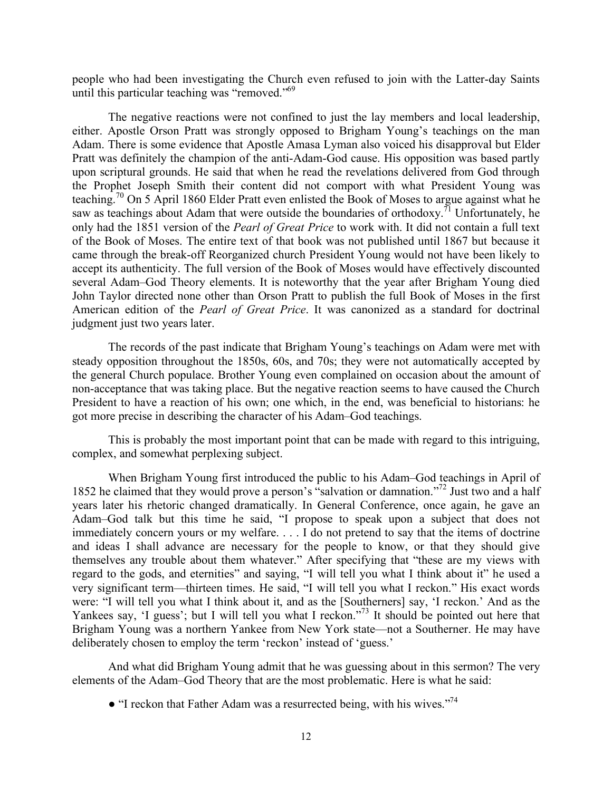people who had been investigating the Church even refused to join with the Latter-day Saints until this particular teaching was "removed."<sup>69</sup>

The negative reactions were not confined to just the lay members and local leadership, either. Apostle Orson Pratt was strongly opposed to Brigham Young's teachings on the man Adam. There is some evidence that Apostle Amasa Lyman also voiced his disapproval but Elder Pratt was definitely the champion of the anti-Adam-God cause. His opposition was based partly upon scriptural grounds. He said that when he read the revelations delivered from God through the Prophet Joseph Smith their content did not comport with what President Young was teaching.70 On 5 April 1860 Elder Pratt even enlisted the Book of Moses to argue against what he saw as teachings about Adam that were outside the boundaries of orthodoxy.<sup>71</sup> Unfortunately, he only had the 1851 version of the *Pearl of Great Price* to work with. It did not contain a full text of the Book of Moses. The entire text of that book was not published until 1867 but because it came through the break-off Reorganized church President Young would not have been likely to accept its authenticity. The full version of the Book of Moses would have effectively discounted several Adam–God Theory elements. It is noteworthy that the year after Brigham Young died John Taylor directed none other than Orson Pratt to publish the full Book of Moses in the first American edition of the *Pearl of Great Price*. It was canonized as a standard for doctrinal judgment just two years later.

The records of the past indicate that Brigham Young's teachings on Adam were met with steady opposition throughout the 1850s, 60s, and 70s; they were not automatically accepted by the general Church populace. Brother Young even complained on occasion about the amount of non-acceptance that was taking place. But the negative reaction seems to have caused the Church President to have a reaction of his own; one which, in the end, was beneficial to historians: he got more precise in describing the character of his Adam–God teachings.

This is probably the most important point that can be made with regard to this intriguing, complex, and somewhat perplexing subject.

When Brigham Young first introduced the public to his Adam–God teachings in April of 1852 he claimed that they would prove a person's "salvation or damnation."<sup>72</sup> Just two and a half years later his rhetoric changed dramatically. In General Conference, once again, he gave an Adam–God talk but this time he said, "I propose to speak upon a subject that does not immediately concern yours or my welfare. . . . I do not pretend to say that the items of doctrine and ideas I shall advance are necessary for the people to know, or that they should give themselves any trouble about them whatever." After specifying that "these are my views with regard to the gods, and eternities" and saying, "I will tell you what I think about it" he used a very significant term—thirteen times. He said, "I will tell you what I reckon." His exact words were: "I will tell you what I think about it, and as the [Southerners] say, 'I reckon.' And as the Yankees say, 'I guess'; but I will tell you what I reckon."<sup>73</sup> It should be pointed out here that Brigham Young was a northern Yankee from New York state—not a Southerner. He may have deliberately chosen to employ the term 'reckon' instead of 'guess.'

And what did Brigham Young admit that he was guessing about in this sermon? The very elements of the Adam–God Theory that are the most problematic. Here is what he said:

 $\bullet$  "I reckon that Father Adam was a resurrected being, with his wives."<sup>74</sup>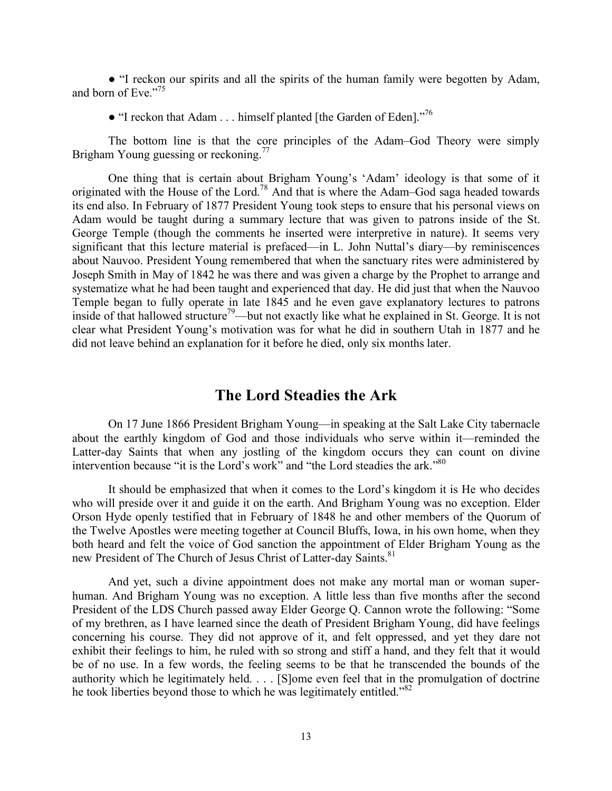● "I reckon our spirits and all the spirits of the human family were begotten by Adam, and born of Eve."<sup>75</sup>

 $\bullet$  "I reckon that Adam . . . himself planted [the Garden of Eden]."<sup>76</sup>

The bottom line is that the core principles of the Adam–God Theory were simply Brigham Young guessing or reckoning.<sup>77</sup>

One thing that is certain about Brigham Young's 'Adam' ideology is that some of it originated with the House of the Lord.<sup>78</sup> And that is where the Adam–God saga headed towards its end also. In February of 1877 President Young took steps to ensure that his personal views on Adam would be taught during a summary lecture that was given to patrons inside of the St. George Temple (though the comments he inserted were interpretive in nature). It seems very significant that this lecture material is prefaced—in L. John Nuttal's diary—by reminiscences about Nauvoo. President Young remembered that when the sanctuary rites were administered by Joseph Smith in May of 1842 he was there and was given a charge by the Prophet to arrange and systematize what he had been taught and experienced that day. He did just that when the Nauvoo Temple began to fully operate in late 1845 and he even gave explanatory lectures to patrons inside of that hallowed structure<sup>79</sup>—but not exactly like what he explained in St. George. It is not clear what President Young's motivation was for what he did in southern Utah in 1877 and he did not leave behind an explanation for it before he died, only six months later.

## **The Lord Steadies the Ark**

On 17 June 1866 President Brigham Young—in speaking at the Salt Lake City tabernacle about the earthly kingdom of God and those individuals who serve within it—reminded the Latter-day Saints that when any jostling of the kingdom occurs they can count on divine intervention because "it is the Lord's work" and "the Lord steadies the ark."<sup>80</sup>

It should be emphasized that when it comes to the Lord's kingdom it is He who decides who will preside over it and guide it on the earth. And Brigham Young was no exception. Elder Orson Hyde openly testified that in February of 1848 he and other members of the Quorum of the Twelve Apostles were meeting together at Council Bluffs, Iowa, in his own home, when they both heard and felt the voice of God sanction the appointment of Elder Brigham Young as the new President of The Church of Jesus Christ of Latter-day Saints.<sup>81</sup>

And yet, such a divine appointment does not make any mortal man or woman superhuman. And Brigham Young was no exception. A little less than five months after the second President of the LDS Church passed away Elder George Q. Cannon wrote the following: "Some of my brethren, as I have learned since the death of President Brigham Young, did have feelings concerning his course. They did not approve of it, and felt oppressed, and yet they dare not exhibit their feelings to him, he ruled with so strong and stiff a hand, and they felt that it would be of no use. In a few words, the feeling seems to be that he transcended the bounds of the authority which he legitimately held. . . . [S]ome even feel that in the promulgation of doctrine he took liberties beyond those to which he was legitimately entitled."<sup>82</sup>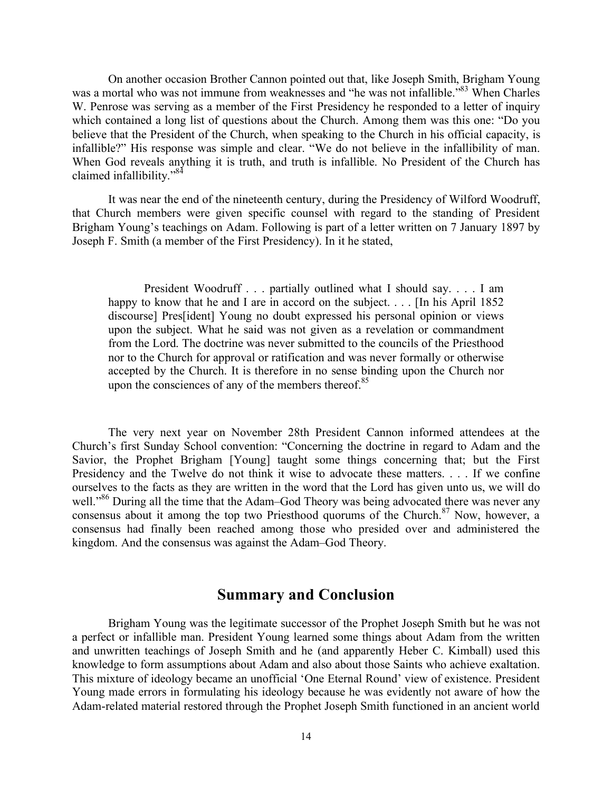On another occasion Brother Cannon pointed out that, like Joseph Smith, Brigham Young was a mortal who was not immune from weaknesses and "he was not infallible."<sup>83</sup> When Charles W. Penrose was serving as a member of the First Presidency he responded to a letter of inquiry which contained a long list of questions about the Church. Among them was this one: "Do you believe that the President of the Church, when speaking to the Church in his official capacity, is infallible?" His response was simple and clear. "We do not believe in the infallibility of man. When God reveals anything it is truth, and truth is infallible. No President of the Church has claimed infallibility."84

It was near the end of the nineteenth century, during the Presidency of Wilford Woodruff, that Church members were given specific counsel with regard to the standing of President Brigham Young's teachings on Adam. Following is part of a letter written on 7 January 1897 by Joseph F. Smith (a member of the First Presidency). In it he stated,

President Woodruff . . . partially outlined what I should say. . . . I am happy to know that he and I are in accord on the subject. . . . [In his April 1852] discourse] Pres[ident] Young no doubt expressed his personal opinion or views upon the subject. What he said was not given as a revelation or commandment from the Lord. The doctrine was never submitted to the councils of the Priesthood nor to the Church for approval or ratification and was never formally or otherwise accepted by the Church. It is therefore in no sense binding upon the Church nor upon the consciences of any of the members thereof. $85$ 

The very next year on November 28th President Cannon informed attendees at the Church's first Sunday School convention: "Concerning the doctrine in regard to Adam and the Savior, the Prophet Brigham [Young] taught some things concerning that; but the First Presidency and the Twelve do not think it wise to advocate these matters. . . . If we confine ourselves to the facts as they are written in the word that the Lord has given unto us, we will do well."<sup>86</sup> During all the time that the Adam–God Theory was being advocated there was never any consensus about it among the top two Priesthood quorums of the Church.<sup>87</sup> Now, however, a consensus had finally been reached among those who presided over and administered the kingdom. And the consensus was against the Adam–God Theory.

# **Summary and Conclusion**

Brigham Young was the legitimate successor of the Prophet Joseph Smith but he was not a perfect or infallible man. President Young learned some things about Adam from the written and unwritten teachings of Joseph Smith and he (and apparently Heber C. Kimball) used this knowledge to form assumptions about Adam and also about those Saints who achieve exaltation. This mixture of ideology became an unofficial 'One Eternal Round' view of existence. President Young made errors in formulating his ideology because he was evidently not aware of how the Adam-related material restored through the Prophet Joseph Smith functioned in an ancient world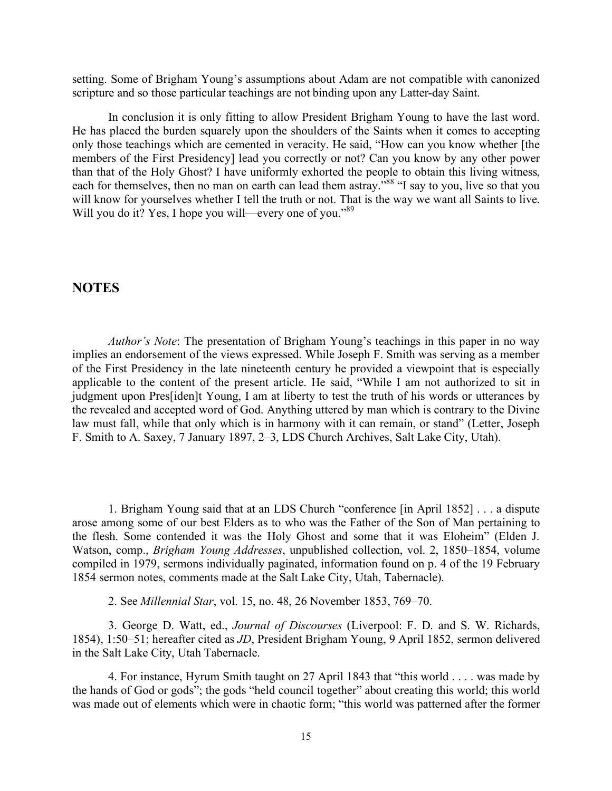setting. Some of Brigham Young's assumptions about Adam are not compatible with canonized scripture and so those particular teachings are not binding upon any Latter-day Saint.

In conclusion it is only fitting to allow President Brigham Young to have the last word. He has placed the burden squarely upon the shoulders of the Saints when it comes to accepting only those teachings which are cemented in veracity. He said, "How can you know whether [the members of the First Presidency] lead you correctly or not? Can you know by any other power than that of the Holy Ghost? I have uniformly exhorted the people to obtain this living witness, each for themselves, then no man on earth can lead them astray.<sup>588</sup> "I say to you, live so that you will know for yourselves whether I tell the truth or not. That is the way we want all Saints to live. Will you do it? Yes, I hope you will—every one of you."<sup>89</sup>

#### **NOTES**

*Author's Note*: The presentation of Brigham Young's teachings in this paper in no way implies an endorsement of the views expressed. While Joseph F. Smith was serving as a member of the First Presidency in the late nineteenth century he provided a viewpoint that is especially applicable to the content of the present article. He said, "While I am not authorized to sit in judgment upon Pres[iden]t Young, I am at liberty to test the truth of his words or utterances by the revealed and accepted word of God. Anything uttered by man which is contrary to the Divine law must fall, while that only which is in harmony with it can remain, or stand" (Letter, Joseph F. Smith to A. Saxey, 7 January 1897, 2–3, LDS Church Archives, Salt Lake City, Utah).

1. Brigham Young said that at an LDS Church "conference [in April 1852] . . . a dispute arose among some of our best Elders as to who was the Father of the Son of Man pertaining to the flesh. Some contended it was the Holy Ghost and some that it was Eloheim" (Elden J. Watson, comp., *Brigham Young Addresses*, unpublished collection, vol. 2, 1850–1854, volume compiled in 1979, sermons individually paginated, information found on p. 4 of the 19 February 1854 sermon notes, comments made at the Salt Lake City, Utah, Tabernacle).

2. See *Millennial Star*, vol. 15, no. 48, 26 November 1853, 769–70.

3. George D. Watt, ed., *Journal of Discourses* (Liverpool: F. D. and S. W. Richards, 1854), 1:50–51; hereafter cited as *JD*, President Brigham Young, 9 April 1852, sermon delivered in the Salt Lake City, Utah Tabernacle.

4. For instance, Hyrum Smith taught on 27 April 1843 that "this world . . . . was made by the hands of God or gods"; the gods "held council together" about creating this world; this world was made out of elements which were in chaotic form; "this world was patterned after the former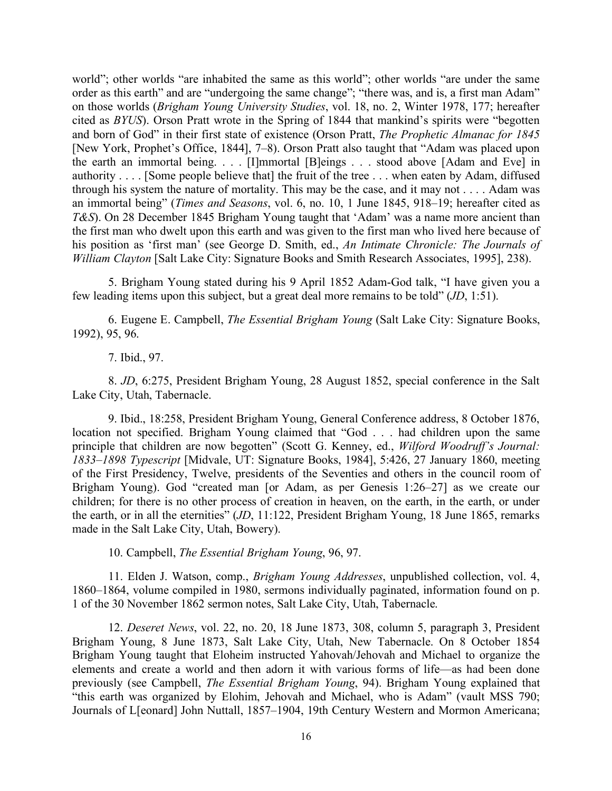world"; other worlds "are inhabited the same as this world"; other worlds "are under the same order as this earth" and are "undergoing the same change"; "there was, and is, a first man Adam" on those worlds (*Brigham Young University Studies*, vol. 18, no. 2, Winter 1978, 177; hereafter cited as *BYUS*). Orson Pratt wrote in the Spring of 1844 that mankind's spirits were "begotten and born of God" in their first state of existence (Orson Pratt, *The Prophetic Almanac for 1845* [New York, Prophet's Office, 1844], 7–8). Orson Pratt also taught that "Adam was placed upon the earth an immortal being. . . . [I]mmortal [B]eings . . . stood above [Adam and Eve] in authority . . . . [Some people believe that] the fruit of the tree . . . when eaten by Adam, diffused through his system the nature of mortality. This may be the case, and it may not . . . . Adam was an immortal being" (*Times and Seasons*, vol. 6, no. 10, 1 June 1845, 918–19; hereafter cited as *T&S*). On 28 December 1845 Brigham Young taught that 'Adam' was a name more ancient than the first man who dwelt upon this earth and was given to the first man who lived here because of his position as 'first man' (see George D. Smith, ed., *An Intimate Chronicle: The Journals of William Clayton* [Salt Lake City: Signature Books and Smith Research Associates, 1995], 238).

5. Brigham Young stated during his 9 April 1852 Adam-God talk, "I have given you a few leading items upon this subject, but a great deal more remains to be told" (*JD*, 1:51).

6. Eugene E. Campbell, *The Essential Brigham Young* (Salt Lake City: Signature Books, 1992), 95, 96.

7. Ibid., 97.

8. *JD*, 6:275, President Brigham Young, 28 August 1852, special conference in the Salt Lake City, Utah, Tabernacle.

9. Ibid., 18:258, President Brigham Young, General Conference address, 8 October 1876, location not specified. Brigham Young claimed that "God . . . had children upon the same principle that children are now begotten" (Scott G. Kenney, ed., *Wilford Woodruff's Journal: 1833–1898 Typescript* [Midvale, UT: Signature Books, 1984], 5:426, 27 January 1860, meeting of the First Presidency, Twelve, presidents of the Seventies and others in the council room of Brigham Young). God "created man [or Adam, as per Genesis 1:26–27] as we create our children; for there is no other process of creation in heaven, on the earth, in the earth, or under the earth, or in all the eternities" (*JD*, 11:122, President Brigham Young, 18 June 1865, remarks made in the Salt Lake City, Utah, Bowery).

10. Campbell, *The Essential Brigham Young*, 96, 97.

11. Elden J. Watson, comp., *Brigham Young Addresses*, unpublished collection, vol. 4, 1860–1864, volume compiled in 1980, sermons individually paginated, information found on p. 1 of the 30 November 1862 sermon notes, Salt Lake City, Utah, Tabernacle.

12. *Deseret News*, vol. 22, no. 20, 18 June 1873, 308, column 5, paragraph 3, President Brigham Young, 8 June 1873, Salt Lake City, Utah, New Tabernacle. On 8 October 1854 Brigham Young taught that Eloheim instructed Yahovah/Jehovah and Michael to organize the elements and create a world and then adorn it with various forms of life—as had been done previously (see Campbell, *The Essential Brigham Young*, 94). Brigham Young explained that "this earth was organized by Elohim, Jehovah and Michael, who is Adam" (vault MSS 790; Journals of L[eonard] John Nuttall, 1857–1904, 19th Century Western and Mormon Americana;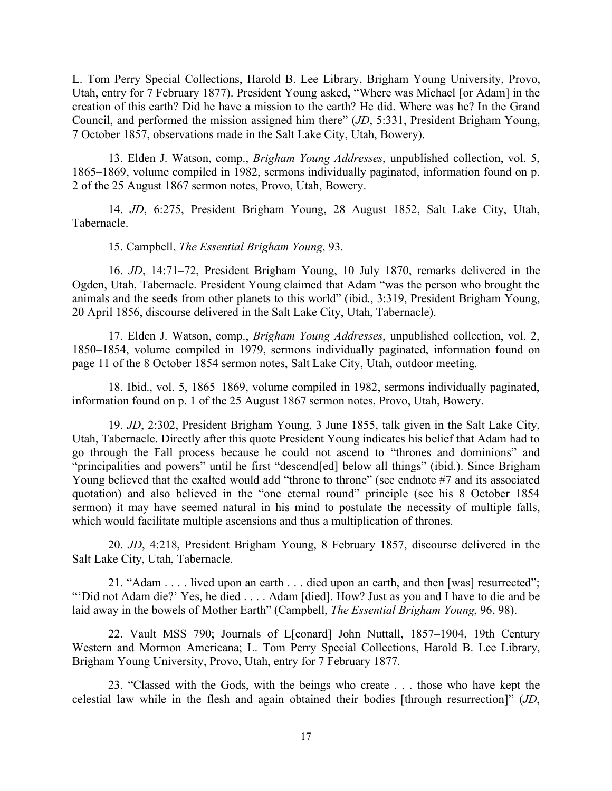L. Tom Perry Special Collections, Harold B. Lee Library, Brigham Young University, Provo, Utah, entry for 7 February 1877). President Young asked, "Where was Michael [or Adam] in the creation of this earth? Did he have a mission to the earth? He did. Where was he? In the Grand Council, and performed the mission assigned him there" (*JD*, 5:331, President Brigham Young, 7 October 1857, observations made in the Salt Lake City, Utah, Bowery).

13. Elden J. Watson, comp., *Brigham Young Addresses*, unpublished collection, vol. 5, 1865–1869, volume compiled in 1982, sermons individually paginated, information found on p. 2 of the 25 August 1867 sermon notes, Provo, Utah, Bowery.

14. *JD*, 6:275, President Brigham Young, 28 August 1852, Salt Lake City, Utah, Tabernacle.

15. Campbell, *The Essential Brigham Young*, 93.

16. *JD*, 14:71–72, President Brigham Young, 10 July 1870, remarks delivered in the Ogden, Utah, Tabernacle. President Young claimed that Adam "was the person who brought the animals and the seeds from other planets to this world" (ibid., 3:319, President Brigham Young, 20 April 1856, discourse delivered in the Salt Lake City, Utah, Tabernacle).

17. Elden J. Watson, comp., *Brigham Young Addresses*, unpublished collection, vol. 2, 1850–1854, volume compiled in 1979, sermons individually paginated, information found on page 11 of the 8 October 1854 sermon notes, Salt Lake City, Utah, outdoor meeting.

18. Ibid., vol. 5, 1865–1869, volume compiled in 1982, sermons individually paginated, information found on p. 1 of the 25 August 1867 sermon notes, Provo, Utah, Bowery.

19. *JD*, 2:302, President Brigham Young, 3 June 1855, talk given in the Salt Lake City, Utah, Tabernacle. Directly after this quote President Young indicates his belief that Adam had to go through the Fall process because he could not ascend to "thrones and dominions" and "principalities and powers" until he first "descend[ed] below all things" (ibid.). Since Brigham Young believed that the exalted would add "throne to throne" (see endnote #7 and its associated quotation) and also believed in the "one eternal round" principle (see his 8 October 1854 sermon) it may have seemed natural in his mind to postulate the necessity of multiple falls, which would facilitate multiple ascensions and thus a multiplication of thrones.

20. *JD*, 4:218, President Brigham Young, 8 February 1857, discourse delivered in the Salt Lake City, Utah, Tabernacle.

21. "Adam . . . . lived upon an earth . . . died upon an earth, and then [was] resurrected"; "'Did not Adam die?' Yes, he died . . . . Adam [died]. How? Just as you and I have to die and be laid away in the bowels of Mother Earth" (Campbell, *The Essential Brigham Young*, 96, 98).

22. Vault MSS 790; Journals of L[eonard] John Nuttall, 1857–1904, 19th Century Western and Mormon Americana; L. Tom Perry Special Collections, Harold B. Lee Library, Brigham Young University, Provo, Utah, entry for 7 February 1877.

23. "Classed with the Gods, with the beings who create . . . those who have kept the celestial law while in the flesh and again obtained their bodies [through resurrection]" (*JD*,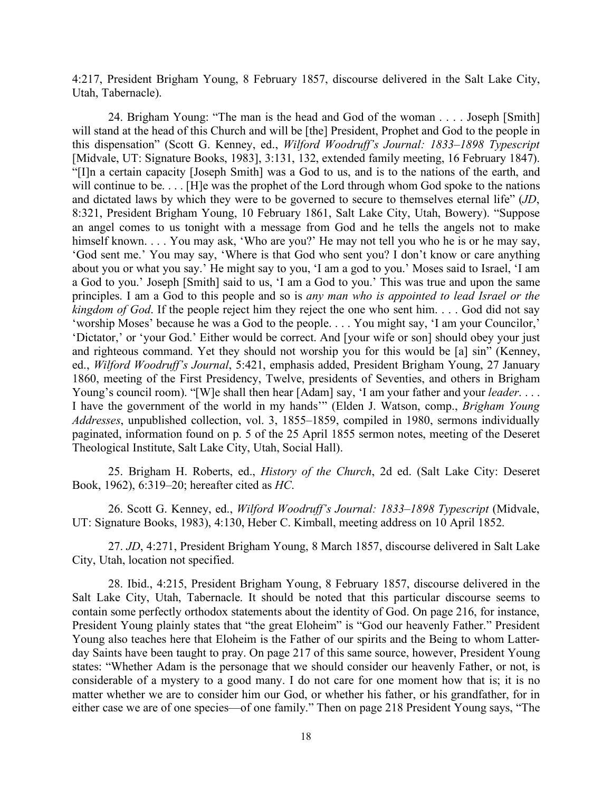4:217, President Brigham Young, 8 February 1857, discourse delivered in the Salt Lake City, Utah, Tabernacle).

24. Brigham Young: "The man is the head and God of the woman . . . . Joseph [Smith] will stand at the head of this Church and will be [the] President, Prophet and God to the people in this dispensation" (Scott G. Kenney, ed., *Wilford Woodruff's Journal: 1833–1898 Typescript* [Midvale, UT: Signature Books, 1983], 3:131, 132, extended family meeting, 16 February 1847). "[I]n a certain capacity [Joseph Smith] was a God to us, and is to the nations of the earth, and will continue to be. . . . [H]e was the prophet of the Lord through whom God spoke to the nations and dictated laws by which they were to be governed to secure to themselves eternal life" (*JD*, 8:321, President Brigham Young, 10 February 1861, Salt Lake City, Utah, Bowery). "Suppose an angel comes to us tonight with a message from God and he tells the angels not to make himself known. . . . You may ask, 'Who are you?' He may not tell you who he is or he may say, 'God sent me.' You may say, 'Where is that God who sent you? I don't know or care anything about you or what you say.' He might say to you, 'I am a god to you.' Moses said to Israel, 'I am a God to you.' Joseph [Smith] said to us, 'I am a God to you.' This was true and upon the same principles. I am a God to this people and so is *any man who is appointed to lead Israel or the kingdom of God.* If the people reject him they reject the one who sent him. . . . God did not say 'worship Moses' because he was a God to the people. . . . You might say, 'I am your Councilor,' 'Dictator,' or 'your God.' Either would be correct. And [your wife or son] should obey your just and righteous command. Yet they should not worship you for this would be [a] sin" (Kenney, ed., *Wilford Woodruff's Journal*, 5:421, emphasis added, President Brigham Young, 27 January 1860, meeting of the First Presidency, Twelve, presidents of Seventies, and others in Brigham Young's council room). "[W]e shall then hear [Adam] say, 'I am your father and your *leader*. . . . I have the government of the world in my hands'" (Elden J. Watson, comp., *Brigham Young Addresses*, unpublished collection, vol. 3, 1855–1859, compiled in 1980, sermons individually paginated, information found on p. 5 of the 25 April 1855 sermon notes, meeting of the Deseret Theological Institute, Salt Lake City, Utah, Social Hall).

25. Brigham H. Roberts, ed., *History of the Church*, 2d ed. (Salt Lake City: Deseret Book, 1962), 6:319–20; hereafter cited as *HC*.

26. Scott G. Kenney, ed., *Wilford Woodruff's Journal: 1833–1898 Typescript* (Midvale, UT: Signature Books, 1983), 4:130, Heber C. Kimball, meeting address on 10 April 1852.

27. *JD*, 4:271, President Brigham Young, 8 March 1857, discourse delivered in Salt Lake City, Utah, location not specified.

28. Ibid., 4:215, President Brigham Young, 8 February 1857, discourse delivered in the Salt Lake City, Utah, Tabernacle. It should be noted that this particular discourse seems to contain some perfectly orthodox statements about the identity of God. On page 216, for instance, President Young plainly states that "the great Eloheim" is "God our heavenly Father." President Young also teaches here that Eloheim is the Father of our spirits and the Being to whom Latterday Saints have been taught to pray. On page 217 of this same source, however, President Young states: "Whether Adam is the personage that we should consider our heavenly Father, or not, is considerable of a mystery to a good many. I do not care for one moment how that is; it is no matter whether we are to consider him our God, or whether his father, or his grandfather, for in either case we are of one species—of one family." Then on page 218 President Young says, "The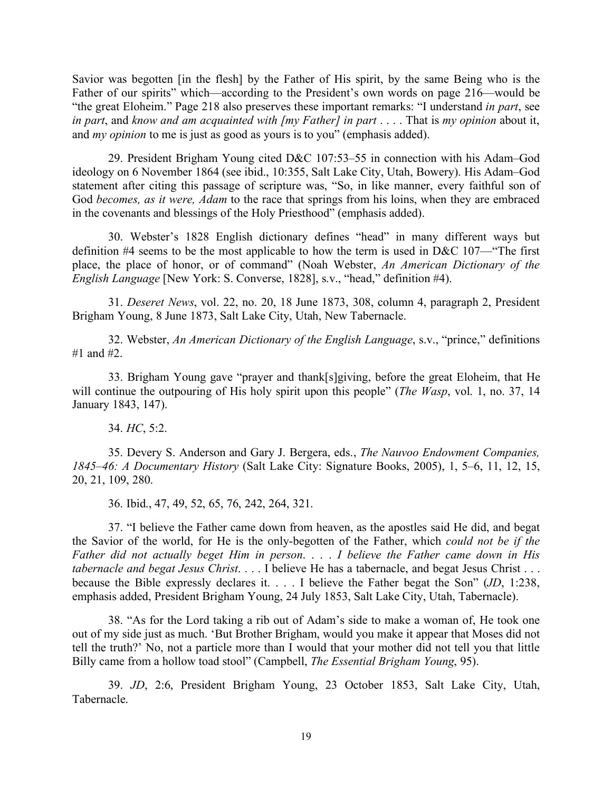Savior was begotten [in the flesh] by the Father of His spirit, by the same Being who is the Father of our spirits" which—according to the President's own words on page 216—would be "the great Eloheim." Page 218 also preserves these important remarks: "I understand *in part*, see *in part*, and *know and am acquainted with [my Father] in part* . . . . That is *my opinion* about it, and *my opinion* to me is just as good as yours is to you" (emphasis added).

29. President Brigham Young cited D&C 107:53–55 in connection with his Adam–God ideology on 6 November 1864 (see ibid., 10:355, Salt Lake City, Utah, Bowery). His Adam–God statement after citing this passage of scripture was, "So, in like manner, every faithful son of God *becomes, as it were, Adam* to the race that springs from his loins, when they are embraced in the covenants and blessings of the Holy Priesthood" (emphasis added).

30. Webster's 1828 English dictionary defines "head" in many different ways but definition #4 seems to be the most applicable to how the term is used in D&C 107—"The first place, the place of honor, or of command" (Noah Webster, *An American Dictionary of the English Language* [New York: S. Converse, 1828], s.v., "head," definition #4).

31. *Deseret News*, vol. 22, no. 20, 18 June 1873, 308, column 4, paragraph 2, President Brigham Young, 8 June 1873, Salt Lake City, Utah, New Tabernacle.

32. Webster, *An American Dictionary of the English Language*, s.v., "prince," definitions #1 and  $#2^-$ 

33. Brigham Young gave "prayer and thank[s]giving, before the great Eloheim, that He will continue the outpouring of His holy spirit upon this people" (*The Wasp*, vol. 1, no. 37, 14 January 1843, 147).

34. *HC*, 5:2.

35. Devery S. Anderson and Gary J. Bergera, eds., *The Nauvoo Endowment Companies, 1845–46: A Documentary History* (Salt Lake City: Signature Books, 2005), 1, 5–6, 11, 12, 15, 20, 21, 109, 280.

36. Ibid., 47, 49, 52, 65, 76, 242, 264, 321.

37. "I believe the Father came down from heaven, as the apostles said He did, and begat the Savior of the world, for He is the only-begotten of the Father, which *could not be if the Father did not actually beget Him in person*. . . . *I believe the Father came down in His tabernacle and begat Jesus Christ*. . . . I believe He has a tabernacle, and begat Jesus Christ . . . because the Bible expressly declares it. . . . I believe the Father begat the Son" (*JD*, 1:238, emphasis added, President Brigham Young, 24 July 1853, Salt Lake City, Utah, Tabernacle).

38. "As for the Lord taking a rib out of Adam's side to make a woman of, He took one out of my side just as much. 'But Brother Brigham, would you make it appear that Moses did not tell the truth?' No, not a particle more than I would that your mother did not tell you that little Billy came from a hollow toad stool" (Campbell, *The Essential Brigham Young*, 95).

39. *JD*, 2:6, President Brigham Young, 23 October 1853, Salt Lake City, Utah, Tabernacle.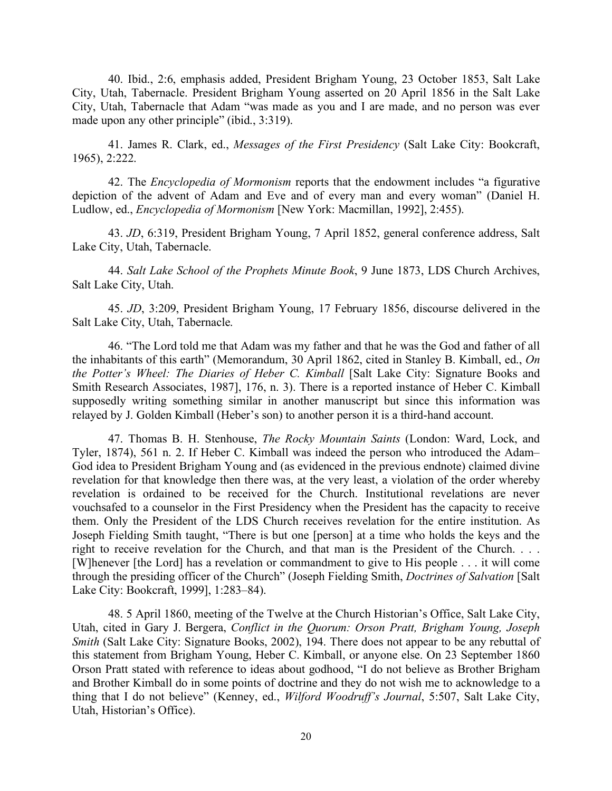40. Ibid., 2:6, emphasis added, President Brigham Young, 23 October 1853, Salt Lake City, Utah, Tabernacle. President Brigham Young asserted on 20 April 1856 in the Salt Lake City, Utah, Tabernacle that Adam "was made as you and I are made, and no person was ever made upon any other principle" (ibid., 3:319).

41. James R. Clark, ed., *Messages of the First Presidency* (Salt Lake City: Bookcraft, 1965), 2:222.

42. The *Encyclopedia of Mormonism* reports that the endowment includes "a figurative depiction of the advent of Adam and Eve and of every man and every woman" (Daniel H. Ludlow, ed., *Encyclopedia of Mormonism* [New York: Macmillan, 1992], 2:455).

43. *JD*, 6:319, President Brigham Young, 7 April 1852, general conference address, Salt Lake City, Utah, Tabernacle.

44. *Salt Lake School of the Prophets Minute Book*, 9 June 1873, LDS Church Archives, Salt Lake City, Utah.

45. *JD*, 3:209, President Brigham Young, 17 February 1856, discourse delivered in the Salt Lake City, Utah, Tabernacle.

46. "The Lord told me that Adam was my father and that he was the God and father of all the inhabitants of this earth" (Memorandum, 30 April 1862, cited in Stanley B. Kimball, ed., *On the Potter's Wheel: The Diaries of Heber C. Kimball* [Salt Lake City: Signature Books and Smith Research Associates, 1987], 176, n. 3). There is a reported instance of Heber C. Kimball supposedly writing something similar in another manuscript but since this information was relayed by J. Golden Kimball (Heber's son) to another person it is a third-hand account.

47. Thomas B. H. Stenhouse, *The Rocky Mountain Saints* (London: Ward, Lock, and Tyler, 1874), 561 n. 2. If Heber C. Kimball was indeed the person who introduced the Adam– God idea to President Brigham Young and (as evidenced in the previous endnote) claimed divine revelation for that knowledge then there was, at the very least, a violation of the order whereby revelation is ordained to be received for the Church. Institutional revelations are never vouchsafed to a counselor in the First Presidency when the President has the capacity to receive them. Only the President of the LDS Church receives revelation for the entire institution. As Joseph Fielding Smith taught, "There is but one [person] at a time who holds the keys and the right to receive revelation for the Church, and that man is the President of the Church. . . . [W]henever [the Lord] has a revelation or commandment to give to His people . . . it will come through the presiding officer of the Church" (Joseph Fielding Smith, *Doctrines of Salvation* [Salt Lake City: Bookcraft, 1999], 1:283–84).

48. 5 April 1860, meeting of the Twelve at the Church Historian's Office, Salt Lake City, Utah, cited in Gary J. Bergera, *Conflict in the Quorum: Orson Pratt, Brigham Young, Joseph Smith* (Salt Lake City: Signature Books, 2002), 194. There does not appear to be any rebuttal of this statement from Brigham Young, Heber C. Kimball, or anyone else. On 23 September 1860 Orson Pratt stated with reference to ideas about godhood, "I do not believe as Brother Brigham and Brother Kimball do in some points of doctrine and they do not wish me to acknowledge to a thing that I do not believe" (Kenney, ed., *Wilford Woodruff's Journal*, 5:507, Salt Lake City, Utah, Historian's Office).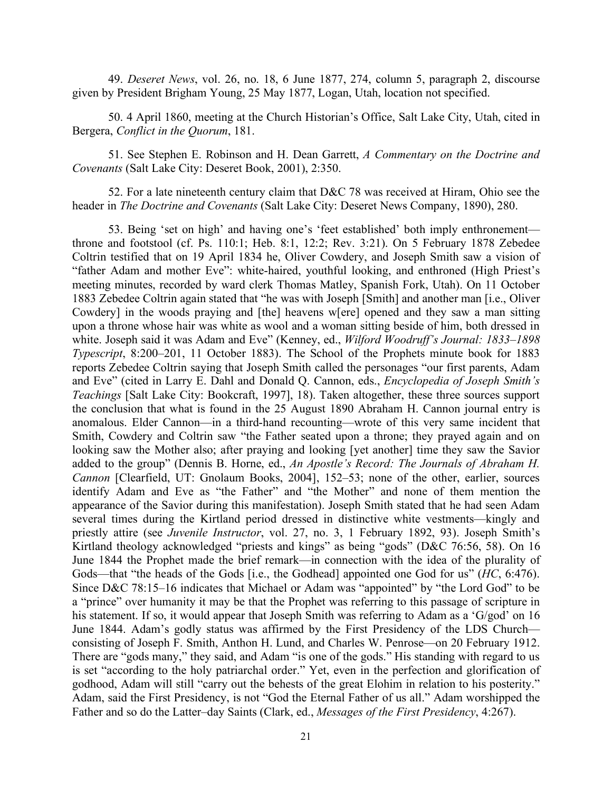49. *Deseret News*, vol. 26, no. 18, 6 June 1877, 274, column 5, paragraph 2, discourse given by President Brigham Young, 25 May 1877, Logan, Utah, location not specified.

50. 4 April 1860, meeting at the Church Historian's Office, Salt Lake City, Utah, cited in Bergera, *Conflict in the Quorum*, 181.

51. See Stephen E. Robinson and H. Dean Garrett, *A Commentary on the Doctrine and Covenants* (Salt Lake City: Deseret Book, 2001), 2:350.

52. For a late nineteenth century claim that D&C 78 was received at Hiram, Ohio see the header in *The Doctrine and Covenants* (Salt Lake City: Deseret News Company, 1890), 280.

53. Being 'set on high' and having one's 'feet established' both imply enthronement throne and footstool (cf. Ps. 110:1; Heb. 8:1, 12:2; Rev. 3:21). On 5 February 1878 Zebedee Coltrin testified that on 19 April 1834 he, Oliver Cowdery, and Joseph Smith saw a vision of "father Adam and mother Eve": white-haired, youthful looking, and enthroned (High Priest's meeting minutes, recorded by ward clerk Thomas Matley, Spanish Fork, Utah). On 11 October 1883 Zebedee Coltrin again stated that "he was with Joseph [Smith] and another man [i.e., Oliver Cowdery] in the woods praying and [the] heavens w[ere] opened and they saw a man sitting upon a throne whose hair was white as wool and a woman sitting beside of him, both dressed in white. Joseph said it was Adam and Eve" (Kenney, ed., *Wilford Woodruff's Journal: 1833–1898 Typescript*, 8:200–201, 11 October 1883). The School of the Prophets minute book for 1883 reports Zebedee Coltrin saying that Joseph Smith called the personages "our first parents, Adam and Eve" (cited in Larry E. Dahl and Donald Q. Cannon, eds., *Encyclopedia of Joseph Smith's Teachings* [Salt Lake City: Bookcraft, 1997], 18). Taken altogether, these three sources support the conclusion that what is found in the 25 August 1890 Abraham H. Cannon journal entry is anomalous. Elder Cannon—in a third-hand recounting—wrote of this very same incident that Smith, Cowdery and Coltrin saw "the Father seated upon a throne; they prayed again and on looking saw the Mother also; after praying and looking [yet another] time they saw the Savior added to the group" (Dennis B. Horne, ed., *An Apostle's Record: The Journals of Abraham H. Cannon* [Clearfield, UT: Gnolaum Books, 2004], 152–53; none of the other, earlier, sources identify Adam and Eve as "the Father" and "the Mother" and none of them mention the appearance of the Savior during this manifestation). Joseph Smith stated that he had seen Adam several times during the Kirtland period dressed in distinctive white vestments—kingly and priestly attire (see *Juvenile Instructor*, vol. 27, no. 3, 1 February 1892, 93). Joseph Smith's Kirtland theology acknowledged "priests and kings" as being "gods" (D&C 76:56, 58). On 16 June 1844 the Prophet made the brief remark—in connection with the idea of the plurality of Gods—that "the heads of the Gods [i.e., the Godhead] appointed one God for us" (*HC*, 6:476). Since D&C 78:15–16 indicates that Michael or Adam was "appointed" by "the Lord God" to be a "prince" over humanity it may be that the Prophet was referring to this passage of scripture in his statement. If so, it would appear that Joseph Smith was referring to Adam as a 'G/god' on 16 June 1844. Adam's godly status was affirmed by the First Presidency of the LDS Church consisting of Joseph F. Smith, Anthon H. Lund, and Charles W. Penrose—on 20 February 1912. There are "gods many," they said, and Adam "is one of the gods." His standing with regard to us is set "according to the holy patriarchal order." Yet, even in the perfection and glorification of godhood, Adam will still "carry out the behests of the great Elohim in relation to his posterity." Adam, said the First Presidency, is not "God the Eternal Father of us all." Adam worshipped the Father and so do the Latter–day Saints (Clark, ed., *Messages of the First Presidency*, 4:267).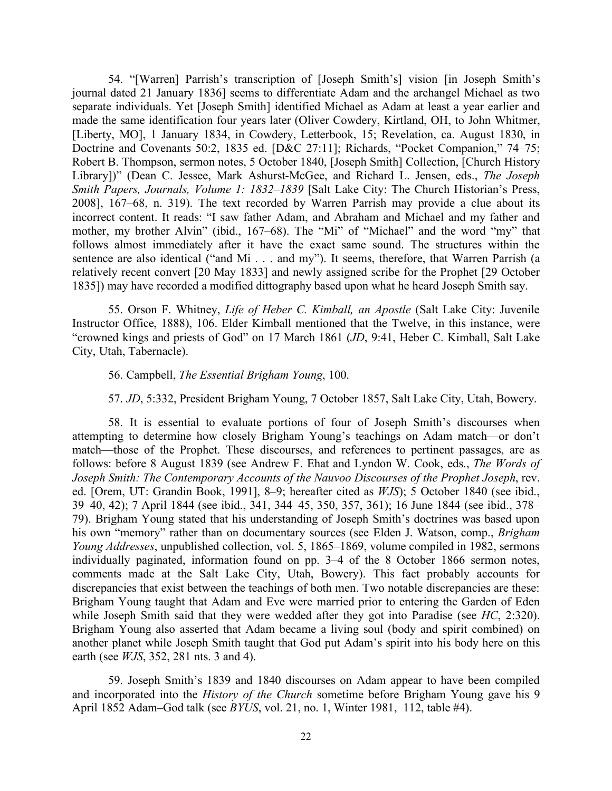54. "[Warren] Parrish's transcription of [Joseph Smith's] vision [in Joseph Smith's journal dated 21 January 1836] seems to differentiate Adam and the archangel Michael as two separate individuals. Yet [Joseph Smith] identified Michael as Adam at least a year earlier and made the same identification four years later (Oliver Cowdery, Kirtland, OH, to John Whitmer, [Liberty, MO], 1 January 1834, in Cowdery, Letterbook, 15; Revelation, ca. August 1830, in Doctrine and Covenants 50:2, 1835 ed. [D&C 27:11]; Richards, "Pocket Companion," 74–75; Robert B. Thompson, sermon notes, 5 October 1840, [Joseph Smith] Collection, [Church History Library])" (Dean C. Jessee, Mark Ashurst-McGee, and Richard L. Jensen, eds., *The Joseph Smith Papers, Journals, Volume 1: 1832–1839* [Salt Lake City: The Church Historian's Press, 2008], 167–68, n. 319). The text recorded by Warren Parrish may provide a clue about its incorrect content. It reads: "I saw father Adam, and Abraham and Michael and my father and mother, my brother Alvin" (ibid., 167–68). The "Mi" of "Michael" and the word "my" that follows almost immediately after it have the exact same sound. The structures within the sentence are also identical ("and Mi . . . and my"). It seems, therefore, that Warren Parrish (a relatively recent convert [20 May 1833] and newly assigned scribe for the Prophet [29 October 1835]) may have recorded a modified dittography based upon what he heard Joseph Smith say.

55. Orson F. Whitney, *Life of Heber C. Kimball, an Apostle* (Salt Lake City: Juvenile Instructor Office, 1888), 106. Elder Kimball mentioned that the Twelve, in this instance, were "crowned kings and priests of God" on 17 March 1861 (*JD*, 9:41, Heber C. Kimball, Salt Lake City, Utah, Tabernacle).

#### 56. Campbell, *The Essential Brigham Young*, 100.

57. *JD*, 5:332, President Brigham Young, 7 October 1857, Salt Lake City, Utah, Bowery.

58. It is essential to evaluate portions of four of Joseph Smith's discourses when attempting to determine how closely Brigham Young's teachings on Adam match—or don't match—those of the Prophet. These discourses, and references to pertinent passages, are as follows: before 8 August 1839 (see Andrew F. Ehat and Lyndon W. Cook, eds., *The Words of Joseph Smith: The Contemporary Accounts of the Nauvoo Discourses of the Prophet Joseph*, rev. ed. [Orem, UT: Grandin Book, 1991], 8–9; hereafter cited as *WJS*); 5 October 1840 (see ibid., 39–40, 42); 7 April 1844 (see ibid., 341, 344–45, 350, 357, 361); 16 June 1844 (see ibid., 378– 79). Brigham Young stated that his understanding of Joseph Smith's doctrines was based upon his own "memory" rather than on documentary sources (see Elden J. Watson, comp., *Brigham Young Addresses*, unpublished collection, vol. 5, 1865–1869, volume compiled in 1982, sermons individually paginated, information found on pp. 3–4 of the 8 October 1866 sermon notes, comments made at the Salt Lake City, Utah, Bowery). This fact probably accounts for discrepancies that exist between the teachings of both men. Two notable discrepancies are these: Brigham Young taught that Adam and Eve were married prior to entering the Garden of Eden while Joseph Smith said that they were wedded after they got into Paradise (see *HC*, 2:320). Brigham Young also asserted that Adam became a living soul (body and spirit combined) on another planet while Joseph Smith taught that God put Adam's spirit into his body here on this earth (see *WJS*, 352, 281 nts. 3 and 4).

59. Joseph Smith's 1839 and 1840 discourses on Adam appear to have been compiled and incorporated into the *History of the Church* sometime before Brigham Young gave his 9 April 1852 Adam–God talk (see *BYUS*, vol. 21, no. 1, Winter 1981, 112, table #4).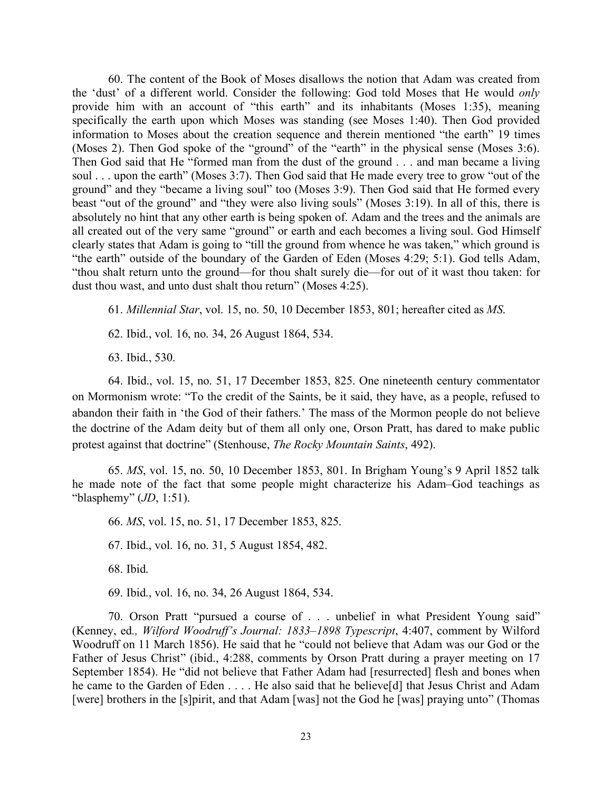60. The content of the Book of Moses disallows the notion that Adam was created from the 'dust' of a different world. Consider the following: God told Moses that He would *only* provide him with an account of "this earth" and its inhabitants (Moses 1:35), meaning specifically the earth upon which Moses was standing (see Moses 1:40). Then God provided information to Moses about the creation sequence and therein mentioned "the earth" 19 times (Moses 2). Then God spoke of the "ground" of the "earth" in the physical sense (Moses 3:6). Then God said that He "formed man from the dust of the ground . . . and man became a living soul . . . upon the earth" (Moses 3:7). Then God said that He made every tree to grow "out of the ground" and they "became a living soul" too (Moses 3:9). Then God said that He formed every beast "out of the ground" and "they were also living souls" (Moses 3:19). In all of this, there is absolutely no hint that any other earth is being spoken of. Adam and the trees and the animals are all created out of the very same "ground" or earth and each becomes a living soul. God Himself clearly states that Adam is going to "till the ground from whence he was taken," which ground is "the earth" outside of the boundary of the Garden of Eden (Moses 4:29; 5:1). God tells Adam, "thou shalt return unto the ground—for thou shalt surely die—for out of it wast thou taken: for dust thou wast, and unto dust shalt thou return" (Moses 4:25).

61. *Millennial Star*, vol. 15, no. 50, 10 December 1853, 801; hereafter cited as *MS*.

62. Ibid., vol. 16, no. 34, 26 August 1864, 534.

63. Ibid., 530.

64. Ibid., vol. 15, no. 51, 17 December 1853, 825. One nineteenth century commentator on Mormonism wrote: "To the credit of the Saints, be it said, they have, as a people, refused to abandon their faith in 'the God of their fathers.' The mass of the Mormon people do not believe the doctrine of the Adam deity but of them all only one, Orson Pratt, has dared to make public protest against that doctrine" (Stenhouse, *The Rocky Mountain Saints*, 492).

65. *MS*, vol. 15, no. 50, 10 December 1853, 801. In Brigham Young's 9 April 1852 talk he made note of the fact that some people might characterize his Adam–God teachings as "blasphemy" (*JD*, 1:51).

66. *MS*, vol. 15, no. 51, 17 December 1853, 825.

67. Ibid., vol. 16, no. 31, 5 August 1854, 482.

68. Ibid.

69. Ibid., vol. 16, no. 34, 26 August 1864, 534.

70. Orson Pratt "pursued a course of . . . unbelief in what President Young said" (Kenney, ed*., Wilford Woodruff's Journal: 1833–1898 Typescript*, 4:407, comment by Wilford Woodruff on 11 March 1856). He said that he "could not believe that Adam was our God or the Father of Jesus Christ" (ibid., 4:288, comments by Orson Pratt during a prayer meeting on 17 September 1854). He "did not believe that Father Adam had [resurrected] flesh and bones when he came to the Garden of Eden . . . . He also said that he believe[d] that Jesus Christ and Adam [were] brothers in the [s]pirit, and that Adam [was] not the God he [was] praying unto" (Thomas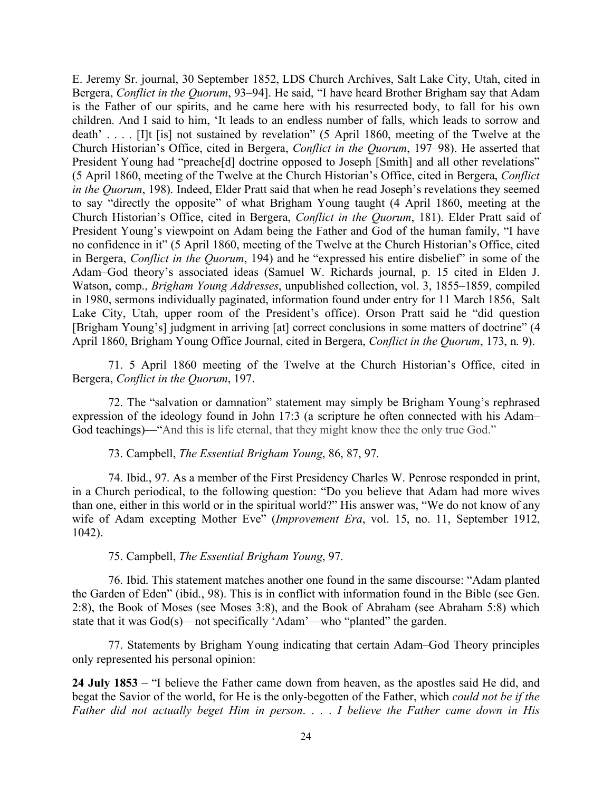E. Jeremy Sr. journal, 30 September 1852, LDS Church Archives, Salt Lake City, Utah, cited in Bergera, *Conflict in the Quorum*, 93–94]. He said, "I have heard Brother Brigham say that Adam is the Father of our spirits, and he came here with his resurrected body, to fall for his own children. And I said to him, 'It leads to an endless number of falls, which leads to sorrow and death' . . . . [I]t [is] not sustained by revelation" (5 April 1860, meeting of the Twelve at the Church Historian's Office, cited in Bergera, *Conflict in the Quorum*, 197–98). He asserted that President Young had "preache<sup>[d]</sup> doctrine opposed to Joseph [Smith] and all other revelations" (5 April 1860, meeting of the Twelve at the Church Historian's Office, cited in Bergera, *Conflict in the Quorum*, 198). Indeed, Elder Pratt said that when he read Joseph's revelations they seemed to say "directly the opposite" of what Brigham Young taught (4 April 1860, meeting at the Church Historian's Office, cited in Bergera, *Conflict in the Quorum*, 181). Elder Pratt said of President Young's viewpoint on Adam being the Father and God of the human family, "I have no confidence in it" (5 April 1860, meeting of the Twelve at the Church Historian's Office, cited in Bergera, *Conflict in the Quorum*, 194) and he "expressed his entire disbelief" in some of the Adam–God theory's associated ideas (Samuel W. Richards journal, p. 15 cited in Elden J. Watson, comp., *Brigham Young Addresses*, unpublished collection, vol. 3, 1855–1859, compiled in 1980, sermons individually paginated, information found under entry for 11 March 1856, Salt Lake City, Utah, upper room of the President's office). Orson Pratt said he "did question [Brigham Young's] judgment in arriving [at] correct conclusions in some matters of doctrine" (4 April 1860, Brigham Young Office Journal, cited in Bergera, *Conflict in the Quorum*, 173, n. 9).

71. 5 April 1860 meeting of the Twelve at the Church Historian's Office, cited in Bergera, *Conflict in the Quorum*, 197.

72. The "salvation or damnation" statement may simply be Brigham Young's rephrased expression of the ideology found in John 17:3 (a scripture he often connected with his Adam– God teachings)—"And this is life eternal, that they might know thee the only true God."

73. Campbell, *The Essential Brigham Young*, 86, 87, 97.

74. Ibid., 97. As a member of the First Presidency Charles W. Penrose responded in print, in a Church periodical, to the following question: "Do you believe that Adam had more wives than one, either in this world or in the spiritual world?" His answer was, "We do not know of any wife of Adam excepting Mother Eve" (*Improvement Era*, vol. 15, no. 11, September 1912, 1042).

75. Campbell, *The Essential Brigham Young*, 97.

76. Ibid. This statement matches another one found in the same discourse: "Adam planted the Garden of Eden" (ibid., 98). This is in conflict with information found in the Bible (see Gen. 2:8), the Book of Moses (see Moses 3:8), and the Book of Abraham (see Abraham 5:8) which state that it was God(s)—not specifically 'Adam'—who "planted" the garden.

77. Statements by Brigham Young indicating that certain Adam–God Theory principles only represented his personal opinion:

**24 July 1853** – "I believe the Father came down from heaven, as the apostles said He did, and begat the Savior of the world, for He is the only-begotten of the Father, which *could not be if the Father did not actually beget Him in person*. . . . *I believe the Father came down in His*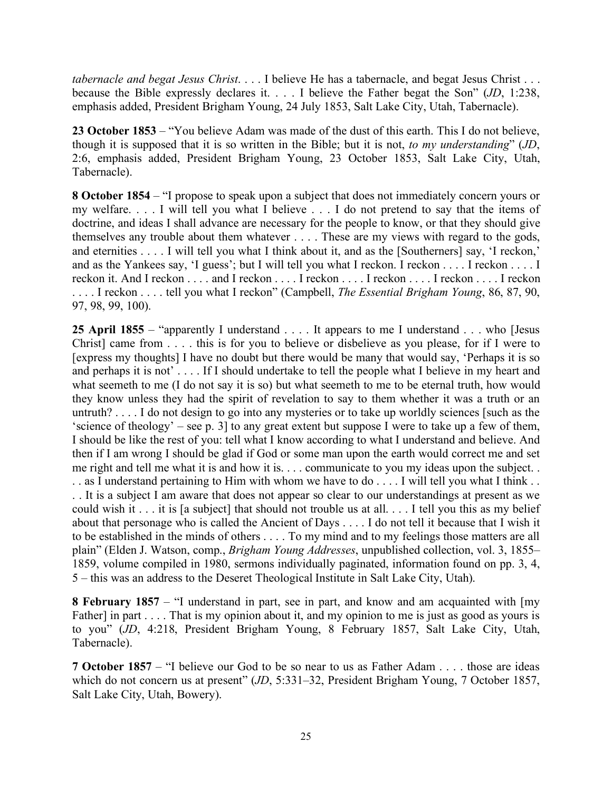*tabernacle and begat Jesus Christ*. . . . I believe He has a tabernacle, and begat Jesus Christ . . . because the Bible expressly declares it. . . . I believe the Father begat the Son" (*JD*, 1:238, emphasis added, President Brigham Young, 24 July 1853, Salt Lake City, Utah, Tabernacle).

**23 October 1853** – "You believe Adam was made of the dust of this earth. This I do not believe, though it is supposed that it is so written in the Bible; but it is not, *to my understanding*" (*JD*, 2:6, emphasis added, President Brigham Young, 23 October 1853, Salt Lake City, Utah, Tabernacle).

**8 October 1854** – "I propose to speak upon a subject that does not immediately concern yours or my welfare. . . . I will tell you what I believe . . . I do not pretend to say that the items of doctrine, and ideas I shall advance are necessary for the people to know, or that they should give themselves any trouble about them whatever . . . . These are my views with regard to the gods, and eternities . . . . I will tell you what I think about it, and as the [Southerners] say, 'I reckon,' and as the Yankees say, 'I guess'; but I will tell you what I reckon. I reckon . . . . I reckon . . . . I reckon it. And I reckon . . . . and I reckon . . . . I reckon . . . . I reckon . . . . I reckon . . . . I reckon . . . . I reckon . . . . tell you what I reckon" (Campbell, *The Essential Brigham Young*, 86, 87, 90, 97, 98, 99, 100).

25 April 1855 – "apparently I understand . . . . It appears to me I understand . . . who [Jesus Christ] came from . . . . this is for you to believe or disbelieve as you please, for if I were to [express my thoughts] I have no doubt but there would be many that would say, 'Perhaps it is so and perhaps it is not' . . . . If I should undertake to tell the people what I believe in my heart and what seemeth to me (I do not say it is so) but what seemeth to me to be eternal truth, how would they know unless they had the spirit of revelation to say to them whether it was a truth or an untruth? . . . . I do not design to go into any mysteries or to take up worldly sciences [such as the 'science of theology' – see p. 3] to any great extent but suppose I were to take up a few of them, I should be like the rest of you: tell what I know according to what I understand and believe. And then if I am wrong I should be glad if God or some man upon the earth would correct me and set me right and tell me what it is and how it is. . . . communicate to you my ideas upon the subject. . . . as I understand pertaining to Him with whom we have to do . . . . I will tell you what I think . . . . It is a subject I am aware that does not appear so clear to our understandings at present as we could wish it . . . it is [a subject] that should not trouble us at all. . . . I tell you this as my belief about that personage who is called the Ancient of Days . . . . I do not tell it because that I wish it to be established in the minds of others . . . . To my mind and to my feelings those matters are all plain" (Elden J. Watson, comp., *Brigham Young Addresses*, unpublished collection, vol. 3, 1855– 1859, volume compiled in 1980, sermons individually paginated, information found on pp. 3, 4, 5 – this was an address to the Deseret Theological Institute in Salt Lake City, Utah).

**8 February 1857** – "I understand in part, see in part, and know and am acquainted with [my Father] in part . . . . That is my opinion about it, and my opinion to me is just as good as yours is to you" (*JD*, 4:218, President Brigham Young, 8 February 1857, Salt Lake City, Utah, Tabernacle).

**7 October 1857** – "I believe our God to be so near to us as Father Adam . . . . those are ideas which do not concern us at present" (*JD*, 5:331–32, President Brigham Young, 7 October 1857, Salt Lake City, Utah, Bowery).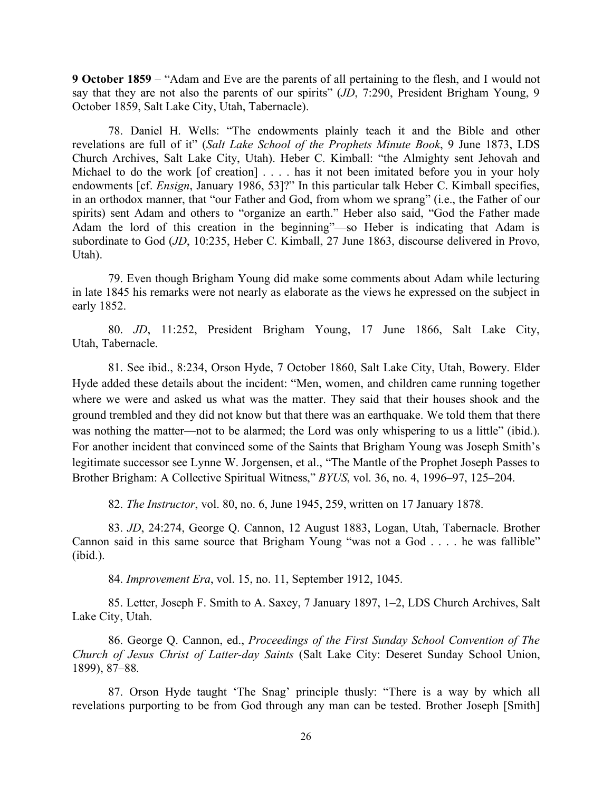**9 October 1859** – "Adam and Eve are the parents of all pertaining to the flesh, and I would not say that they are not also the parents of our spirits" (*JD*, 7:290, President Brigham Young, 9 October 1859, Salt Lake City, Utah, Tabernacle).

78. Daniel H. Wells: "The endowments plainly teach it and the Bible and other revelations are full of it" (*Salt Lake School of the Prophets Minute Book*, 9 June 1873, LDS Church Archives, Salt Lake City, Utah). Heber C. Kimball: "the Almighty sent Jehovah and Michael to do the work [of creation] . . . . has it not been imitated before you in your holy endowments [cf. *Ensign*, January 1986, 53]?" In this particular talk Heber C. Kimball specifies, in an orthodox manner, that "our Father and God, from whom we sprang" (i.e., the Father of our spirits) sent Adam and others to "organize an earth." Heber also said, "God the Father made Adam the lord of this creation in the beginning"—so Heber is indicating that Adam is subordinate to God (*JD*, 10:235, Heber C. Kimball, 27 June 1863, discourse delivered in Provo, Utah).

79. Even though Brigham Young did make some comments about Adam while lecturing in late 1845 his remarks were not nearly as elaborate as the views he expressed on the subject in early 1852.

80. *JD*, 11:252, President Brigham Young, 17 June 1866, Salt Lake City, Utah, Tabernacle.

81. See ibid., 8:234, Orson Hyde, 7 October 1860, Salt Lake City, Utah, Bowery. Elder Hyde added these details about the incident: "Men, women, and children came running together where we were and asked us what was the matter. They said that their houses shook and the ground trembled and they did not know but that there was an earthquake. We told them that there was nothing the matter—not to be alarmed; the Lord was only whispering to us a little" (ibid.). For another incident that convinced some of the Saints that Brigham Young was Joseph Smith's legitimate successor see Lynne W. Jorgensen, et al., "The Mantle of the Prophet Joseph Passes to Brother Brigham: A Collective Spiritual Witness," *BYUS*, vol. 36, no. 4, 1996–97, 125–204.

82. *The Instructor*, vol. 80, no. 6, June 1945, 259, written on 17 January 1878.

83. *JD*, 24:274, George Q. Cannon, 12 August 1883, Logan, Utah, Tabernacle. Brother Cannon said in this same source that Brigham Young "was not a God . . . . he was fallible" (ibid.).

84. *Improvement Era*, vol. 15, no. 11, September 1912, 1045.

85. Letter, Joseph F. Smith to A. Saxey, 7 January 1897, 1–2, LDS Church Archives, Salt Lake City, Utah.

86. George Q. Cannon, ed., *Proceedings of the First Sunday School Convention of The Church of Jesus Christ of Latter-day Saints* (Salt Lake City: Deseret Sunday School Union, 1899), 87–88.

87. Orson Hyde taught 'The Snag' principle thusly: "There is a way by which all revelations purporting to be from God through any man can be tested. Brother Joseph [Smith]